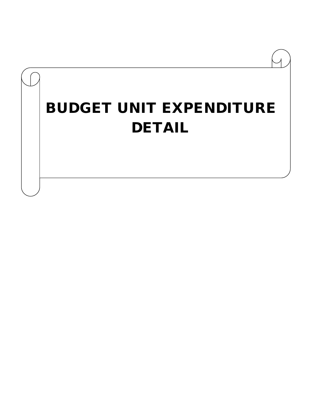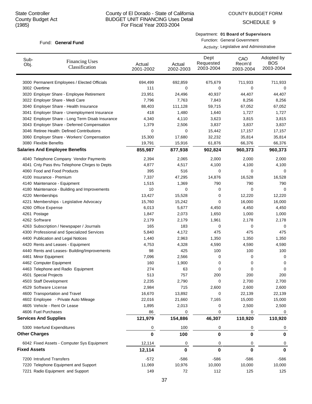SCHEDULE 9

#### Department: **01 Board of Supervisors**

Function: General Government Activity: Legislative and Administrative

| Sub-<br>Obj.        | <b>Financing Uses</b><br>Classification         | Actual<br>2001-2002 | Actual<br>2002-2003 | Dept<br>Requested<br>2003-2004 | CAO<br>Recm'd<br>2003-2004 | Adopted by<br><b>BOS</b><br>2003-2004 |
|---------------------|-------------------------------------------------|---------------------|---------------------|--------------------------------|----------------------------|---------------------------------------|
|                     | 3000 Permanent Employees / Elected Officials    | 694,499             | 692,859             | 675,679                        | 711,933                    | 711,933                               |
|                     | 3002 Overtime                                   | 111                 | 0                   | 0                              | 0                          | 0                                     |
|                     | 3020 Employer Share - Employee Retirement       | 23,951              | 24,496              | 40,937                         | 44,407                     | 44,407                                |
|                     | 3022 Employer Share - Medi Care                 | 7,796               | 7,763               | 7,843                          | 8,256                      | 8,256                                 |
|                     | 3040 Employer Share - Health Insurance          | 88,403              | 111,128             | 59,715                         | 67,052                     | 67,052                                |
|                     | 3041 Employer Share - Unemployment Insurance    | 418                 | 1,480               | 1,640                          | 1,727                      | 1,727                                 |
|                     | 3042 Employer Share - Long Term Disab Insurance | 4,340               | 4,110               | 3,623                          | 3,815                      | 3,815                                 |
|                     | 3043 Employer Share - Deferred Compensation     | 1,379               | 2,506               | 3,837                          | 3,837                      | 3,837                                 |
|                     | 3046 Retiree Health: Defined Contributions      | 0                   | 0                   | 15,442                         | 17,157                     | 17,157                                |
|                     | 3060 Employer Share - Workers' Compensation     | 15,300              | 17,680              | 32,232                         | 35,814                     | 35,814                                |
|                     | 3080 Flexible Benefits                          | 19,791              | 15,916              | 61,876                         | 66,376                     | 66,376                                |
|                     | <b>Salaries And Employee Benefits</b>           | 855,987             | 877,938             | 902,824                        | 960,373                    | 960,373                               |
|                     | 4040 Telephone Company Vendor Payments          | 2,394               | 2,065               | 2,000                          | 2,000                      | 2,000                                 |
|                     | 4041 Cnty Pass thru Telephone Chrges to Depts   | 4,877               | 4,517               | 4,100                          | 4,100                      | 4,100                                 |
|                     | 4060 Food and Food Products                     | 395                 | 516                 | 0                              | 0                          | 0                                     |
|                     | 4100 Insurance - Premium                        | 7,337               | 47,295              | 14,876                         | 16,528                     | 16,528                                |
|                     | 4140 Maintenance - Equipment                    | 1,515               | 1,369               | 790                            | 790                        | 790                                   |
|                     | 4180 Maintenance - Building and Improvements    | 10                  | 0                   | 0                              | 0                          | 0                                     |
|                     | 4220 Memberships                                | 13,427              | 15,528              | 0                              | 12,220                     | 12,220                                |
|                     | 4221 Memberships - Legislative Advocacy         | 15,760              | 15,242              | 0                              | 16,000                     | 16,000                                |
|                     | 4260 Office Expense                             | 6,013               | 5,677               | 4,450                          | 4,450                      | 4,450                                 |
|                     | 4261 Postage                                    | 1,847               | 2,073               | 1,650                          | 1,000                      | 1,000                                 |
|                     | 4262 Software                                   | 2,179               | 2,179               | 1,961                          | 2,178                      | 2,178                                 |
|                     | 4263 Subscription / Newspaper / Journals        | 165                 | 183                 | 0                              | 0                          | 0                                     |
|                     | 4300 Professional and Specialized Services      | 5,840               | 4,172               | 475                            | 475                        | 475                                   |
|                     | 4400 Publication and Legal Notices              | 1,440               | 2,963               | 1,350                          | 1,350                      | 1,350                                 |
|                     | 4420 Rents and Leases - Equipment               | 4,753               | 4,328               | 4,590                          | 4,590                      | 4,590                                 |
|                     | 4440 Rents and Leases- Building/Improvements    | 98                  | 425                 | 100                            | 100                        | 100                                   |
|                     | 4461 Minor Equipment                            | 7,096               | 2,566               | 0                              | 0                          | 0                                     |
|                     | 4462 Computer Equipment                         | 160                 | 1,900               | 0                              | 0                          | 0                                     |
|                     | 4463 Telephone and Radio Equipment              | 274                 | 63                  | 0                              | 0                          | 0                                     |
|                     | 4501 Special Projects                           | 513                 | 757                 | 200                            | 200                        | 200                                   |
|                     | 4503 Staff Development                          | 2,235               | 2,790               | 0                              | 2,700                      | 2,700                                 |
|                     | 4529 Software License                           | 2,984               | 715                 | 2,600                          | 2,600                      | 2,600                                 |
|                     | 4600 Transportation and Travel                  | 16,670              | 13,892              | 0                              | 22,139                     | 22,139                                |
|                     | 4602 Employee - Private Auto Mileage            | 22,016              | 21,660              | 7,165                          | 15,000                     | 15,000                                |
|                     | 4605 Vehicle - Rent Or Lease                    | 1,895               | 2,013               | 0                              | 2,500                      | 2,500                                 |
|                     | 4606 Fuel Purchases                             | 86                  | 0                   | 0                              | 0                          | 0                                     |
|                     | <b>Services And Supplies</b>                    | 121,979             | 154,886             | 46,307                         | 110,920                    | 110,920                               |
|                     | 5300 Interfund Expenditures                     | 0                   | 100                 | 0                              | 0                          | O                                     |
|                     | <b>Other Charges</b>                            | $\bf{0}$            | 100                 | 0                              | 0                          | 0                                     |
|                     | 6042 Fixed Assets - Computer Sys Equipment      | 12,114              | 0                   | 0                              | 0                          | 0                                     |
| <b>Fixed Assets</b> |                                                 | 12,114              | 0                   | 0                              | 0                          | 0                                     |
|                     | 7200 Intrafund Transfers                        | $-572$              | -586                | -586                           | -586                       | -586                                  |
|                     | 7220 Telephone Equipment and Support            | 11,069              | 10,976              | 10,000                         | 10,000                     | 10,000                                |
|                     | 7221 Radio Equipment and Support                | 149                 | 72                  | 112                            | 125                        | 125                                   |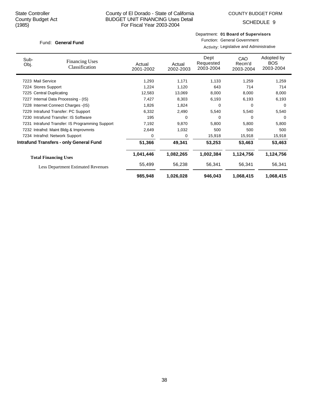# County of El Dorado - State of California BUDGET UNIT FINANCING Uses Detail For Fiscal Year 2003-2004

SCHEDULE 9

#### Department: **01 Board of Supervisors**

Function: General Government Activity: Legislative and Administrative

| Sub-<br>Obj.                         | <b>Financing Uses</b><br>Classification         | Actual<br>2001-2002 | Actual<br>2002-2003 | Dept<br>Requested<br>2003-2004 | CAO<br>Recm'd<br>2003-2004 | Adopted by<br><b>BOS</b><br>2003-2004 |
|--------------------------------------|-------------------------------------------------|---------------------|---------------------|--------------------------------|----------------------------|---------------------------------------|
| 7223 Mail Service                    |                                                 | 1,293               | 1,171               | 1,133                          | 1,259                      | 1,259                                 |
| 7224 Stores Support                  |                                                 | 1,224               | 1,120               | 643                            | 714                        | 714                                   |
| 7225 Central Duplicating             |                                                 | 12,583              | 13,069              | 8,000                          | 8,000                      | 8,000                                 |
|                                      | 7227 Internal Data Processing - (IS)            | 7,427               | 8,303               | 6,193                          | 6,193                      | 6,193                                 |
| 7228 Internet Connect Charges - (IS) |                                                 | 1,826               | 1,824               | 0                              | 0                          | 0                                     |
|                                      | 7229 Intrafund Transfer: PC Support             | 6,332               | 2,490               | 5,540                          | 5,540                      | 5,540                                 |
|                                      | 7230 Intrafund Transfer: IS Software            | 195                 | 0                   | 0                              | 0                          | 0                                     |
|                                      | 7231 Intrafund Transfer: IS Programming Support | 7,192               | 9,870               | 5,800                          | 5,800                      | 5,800                                 |
|                                      | 7232 Intrafnd: Maint Bldg & Improvmnts          | 2,649               | 1,032               | 500                            | 500                        | 500                                   |
|                                      | 7234 Intrafnd: Network Support                  | 0                   | 0                   | 15,918                         | 15,918                     | 15,918                                |
|                                      | <b>Intrafund Transfers - only General Fund</b>  | 51,366              | 49,341              | 53,253                         | 53,463                     | 53,463                                |
|                                      | <b>Total Financing Uses</b>                     | 1,041,446           | 1,082,265           | 1,002,384                      | 1,124,756                  | 1,124,756                             |
|                                      | <b>Less Department Estimated Revenues</b>       | 55,499              | 56,238              | 56,341                         | 56,341                     | 56,341                                |
|                                      |                                                 | 985,948             | 1,026,028           | 946,043                        | 1,068,415                  | 1,068,415                             |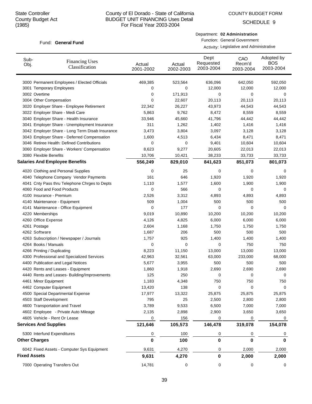SCHEDULE 9

#### Fund: General Fund

Department: **02 Administration**

Function: General Government Activity: Legislative and Administrative

| Sub-<br>Obj.         | <b>Financing Uses</b><br>Classification         | Actual<br>2001-2002 | Actual<br>2002-2003 | Dept<br>Requested<br>2003-2004 | CAO<br>Recm'd<br>2003-2004 | Adopted by<br><b>BOS</b><br>2003-2004 |
|----------------------|-------------------------------------------------|---------------------|---------------------|--------------------------------|----------------------------|---------------------------------------|
|                      | 3000 Permanent Employees / Elected Officials    | 469,385             | 523,564             | 636,096                        | 642,050                    | 592,050                               |
|                      | 3001 Temporary Employees                        | 0                   | 0                   | 12,000                         | 12,000                     | 12,000                                |
| 3002 Overtime        |                                                 | 0                   | 171,913             | 0                              | 0                          | 0                                     |
|                      | 3004 Other Compensation                         | 0                   | 22,607              | 20,113                         | 20,113                     | 20,113                                |
|                      | 3020 Employer Share - Employee Retirement       | 22,342              | 26,227              | 43,973                         | 44,543                     | 44,543                                |
|                      | 3022 Employer Share - Medi Care                 | 5,863               | 9,762               | 8,472                          | 8,559                      | 8,559                                 |
|                      | 3040 Employer Share - Health Insurance          | 33,946              | 45,660              | 41,796                         | 44,442                     | 44,442                                |
|                      | 3041 Employer Share - Unemployment Insurance    | 311                 | 1,262               | 1,402                          | 1,416                      | 1,416                                 |
|                      | 3042 Employer Share - Long Term Disab Insurance | 3,473               | 3,804               | 3,097                          | 3,128                      | 3,128                                 |
|                      | 3043 Employer Share - Deferred Compensation     | 1,600               | 4,513               | 6,434                          | 8,471                      | 8,471                                 |
|                      | 3046 Retiree Health: Defined Contributions      | 0                   | 0                   | 9,401                          | 10,604                     | 10,604                                |
|                      | 3060 Employer Share - Workers' Compensation     | 8,623               | 9,277               | 20,605                         | 22,013                     | 22,013                                |
|                      | 3080 Flexible Benefits                          | 10,706              | 10,421              | 38,233                         | 33,733                     | 33,733                                |
|                      | <b>Salaries And Employee Benefits</b>           | 556,249             | 829,010             | 841,623                        | 851,073                    | 801,073                               |
|                      | 4020 Clothing and Personal Supplies             | 0                   | 25                  | 0                              | 0                          | 0                                     |
|                      | 4040 Telephone Company Vendor Payments          | 161                 | 646                 | 1,920                          | 1,920                      | 1,920                                 |
|                      | 4041 Cnty Pass thru Telephone Chrges to Depts   | 1,110               | 1,577               | 1,600                          | 1,900                      | 1,900                                 |
|                      | 4060 Food and Food Products                     | 0                   | 566                 | 0                              | 0                          | 0                                     |
|                      | 4100 Insurance - Premium                        | 2,526               | 3,312               | 4,893                          | 4,893                      | 4,893                                 |
|                      | 4140 Maintenance - Equipment                    | 509                 | 1,004               | 500                            | 500                        | 500                                   |
|                      | 4141 Maintenance - Office Equipment             | 0                   | 177                 | 0                              | $\mathbf 0$                | 0                                     |
| 4220 Memberships     |                                                 | 9,019               | 10,890              | 10,200                         | 10,200                     | 10,200                                |
|                      | 4260 Office Expense                             | 4,126               | 4,825               | 6,000                          | 6,000                      | 6,000                                 |
| 4261 Postage         |                                                 | 2,604               | 1,168               | 1,750                          | 1,750                      | 1,750                                 |
| 4262 Software        |                                                 | 1,687               | 206                 | 500                            | 500                        | 500                                   |
|                      | 4263 Subscription / Newspaper / Journals        | 1,757               | 925                 | 1,400                          | 1,400                      | 1,400                                 |
|                      | 4264 Books / Manuals                            | 0                   | $\mathbf 0$         | 0                              | 750                        | 750                                   |
|                      | 4266 Printing / Duplicating                     | 8,223               | 11,150              | 13,000                         | 13,000                     | 13,000                                |
|                      | 4300 Professional and Specialized Services      | 42,963              | 32,561              | 63,000                         | 233,000                    | 68,000                                |
|                      | 4400 Publication and Legal Notices              | 5,677               | 3,955               | 500                            | 500                        | 500                                   |
|                      | 4420 Rents and Leases - Equipment               | 1,860               | 1,918               | 2,690                          | 2,690                      | 2,690                                 |
|                      | 4440 Rents and Leases- Building/Improvements    | 125                 | 250                 | 0                              | 0                          | 0                                     |
|                      | 4461 Minor Equipment                            | 1,183               | 4,348               | 750                            | 750                        | 750                                   |
|                      | 4462 Computer Equipment                         | 13,420              | 138                 | 0                              | 0                          | 0                                     |
|                      | 4500 Special Departmental Expense               | 17,977              | 13,322              | 25,875                         | 25,875                     | 25,875                                |
|                      | 4503 Staff Development                          | 795                 | 25                  | 2,500                          | 2,800                      | 2,800                                 |
|                      | 4600 Transportation and Travel                  | 3,789               | 9,533               | 6,500                          | 7,000                      | 7,000                                 |
|                      | 4602 Employee - Private Auto Mileage            | 2,135               | 2,898               | 2,900                          | 3,650                      | 3,650                                 |
|                      | 4605 Vehicle - Rent Or Lease                    | 0                   | 156                 | 0                              | 0                          | 0                                     |
|                      | <b>Services And Supplies</b>                    | 121,646             | 105,573             | 146,478                        | 319,078                    | 154,078                               |
|                      | 5300 Interfund Expenditures                     | 0                   | 100                 | 0                              | 0                          | O                                     |
| <b>Other Charges</b> |                                                 | 0                   | 100                 | 0                              | 0                          | 0                                     |
|                      | 6042 Fixed Assets - Computer Sys Equipment      | 9,631               | 4,270               | 0                              | 2,000                      | 2,000                                 |
| <b>Fixed Assets</b>  |                                                 | 9,631               | 4,270               | 0                              | 2,000                      | 2,000                                 |
|                      | 7000 Operating Transfers Out                    | 14,781              | 0                   | 0                              | 0                          | 0                                     |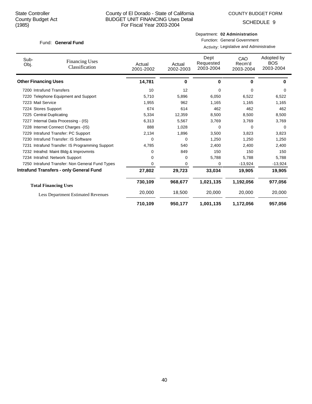SCHEDULE 9

#### Department: **02 Administration**

Function: General Government Activity: Legislative and Administrative

| Sub-<br>Obj.                | <b>Financing Uses</b><br>Classification         | Actual<br>2001-2002 | Actual<br>2002-2003 | Dept<br>Requested<br>2003-2004 | CAO<br>Recm'd<br>2003-2004 | Adopted by<br><b>BOS</b><br>2003-2004 |
|-----------------------------|-------------------------------------------------|---------------------|---------------------|--------------------------------|----------------------------|---------------------------------------|
| <b>Other Financing Uses</b> |                                                 | 14,781              | 0                   | 0                              | 0                          | $\bf{0}$                              |
|                             | 7200 Intrafund Transfers                        | 10                  | 12                  | 0                              | 0                          | 0                                     |
|                             | 7220 Telephone Equipment and Support            | 5,710               | 5,896               | 6,050                          | 6,522                      | 6,522                                 |
| 7223 Mail Service           |                                                 | 1,955               | 962                 | 1,165                          | 1,165                      | 1,165                                 |
| 7224 Stores Support         |                                                 | 674                 | 614                 | 462                            | 462                        | 462                                   |
|                             | 7225 Central Duplicating                        | 5,334               | 12,359              | 8,500                          | 8,500                      | 8,500                                 |
|                             | 7227 Internal Data Processing - (IS)            | 6,313               | 5,567               | 3,769                          | 3,769                      | 3,769                                 |
|                             | 7228 Internet Connect Charges - (IS)            | 888                 | 1,028               | 0                              | $\Omega$                   | $\Omega$                              |
|                             | 7229 Intrafund Transfer: PC Support             | 2,134               | 1,896               | 3,500                          | 3,823                      | 3,823                                 |
|                             | 7230 Intrafund Transfer: IS Software            | 0                   | 0                   | 1,250                          | 1,250                      | 1,250                                 |
|                             | 7231 Intrafund Transfer: IS Programming Support | 4,785               | 540                 | 2,400                          | 2,400                      | 2,400                                 |
|                             | 7232 Intrafnd: Maint Bldg & Improvmnts          | 0                   | 849                 | 150                            | 150                        | 150                                   |
|                             | 7234 Intrafnd: Network Support                  | 0                   | 0                   | 5,788                          | 5,788                      | 5,788                                 |
|                             | 7250 Intrafund Transfer: Non General Fund Types | 0                   | 0                   | 0                              | $-13,924$                  | $-13,924$                             |
|                             | <b>Intrafund Transfers - only General Fund</b>  | 27,802              | 29,723              | 33,034                         | 19,905                     | 19,905                                |
|                             | <b>Total Financing Uses</b>                     | 730,109             | 968,677             | 1,021,135                      | 1,192,056                  | 977,056                               |
|                             | <b>Less Department Estimated Revenues</b>       | 20,000              | 18,500              | 20,000                         | 20,000                     | 20,000                                |
|                             |                                                 | 710,109             | 950,177             | 1,001,135                      | 1,172,056                  | 957,056                               |

# 40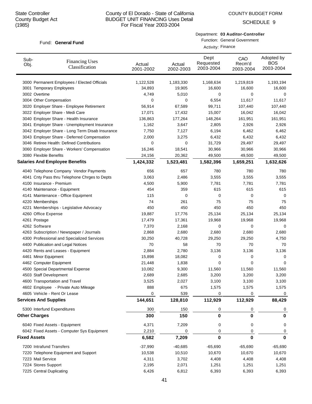SCHEDULE 9

#### Fund: General Fund

Department: **03 Auditor-Controller**

Function: General Government

|                      |                                                 | Activity: Finance   |                     |                                |                            |                                       |  |
|----------------------|-------------------------------------------------|---------------------|---------------------|--------------------------------|----------------------------|---------------------------------------|--|
| Sub-<br>Obj.         | <b>Financing Uses</b><br>Classification         | Actual<br>2001-2002 | Actual<br>2002-2003 | Dept<br>Requested<br>2003-2004 | CAO<br>Recm'd<br>2003-2004 | Adopted by<br><b>BOS</b><br>2003-2004 |  |
|                      | 3000 Permanent Employees / Elected Officials    | 1,122,528           | 1,183,330           | 1,168,634                      | 1,219,819                  | 1,193,194                             |  |
|                      | 3001 Temporary Employees                        | 34,893              | 19,905              | 16,600                         | 16,600                     | 16,600                                |  |
| 3002 Overtime        |                                                 | 4,749               | 5,010               | 0                              | 0                          | 0                                     |  |
|                      | 3004 Other Compensation                         | 0                   | 0                   | 6,554                          | 11,617                     | 11,617                                |  |
|                      | 3020 Employer Share - Employee Retirement       | 56,914              | 67,589              | 99,711                         | 107,440                    | 107,440                               |  |
|                      | 3022 Employer Share - Medi Care                 | 17,071              | 17,432              | 15,007                         | 16,042                     | 16,042                                |  |
|                      | 3040 Employer Share - Health Insurance          | 136,863             | 177,264             | 148,264                        | 161,951                    | 161,951                               |  |
|                      | 3041 Employer Share - Unemployment Insurance    | 1,162               | 3,647               | 2,805                          | 2,926                      | 2,926                                 |  |
|                      | 3042 Employer Share - Long Term Disab Insurance | 7,750               | 7,127               | 6,194                          | 6,462                      | 6,462                                 |  |
|                      | 3043 Employer Share - Deferred Compensation     | 2,000               | 3,275               | 6,432                          | 6,432                      | 6,432                                 |  |
|                      | 3046 Retiree Health: Defined Contributions      | 0                   | 0                   | 31,729                         | 29,497                     | 29,497                                |  |
|                      | 3060 Employer Share - Workers' Compensation     | 16,246              | 18,541              | 30,966                         | 30,966                     | 30,966                                |  |
|                      | 3080 Flexible Benefits                          | 24,156              | 20,362              | 49,500                         | 49,500                     | 49,500                                |  |
|                      | <b>Salaries And Employee Benefits</b>           | 1,424,332           | 1,523,481           | 1,582,396                      | 1,659,251                  | 1,632,626                             |  |
|                      | 4040 Telephone Company Vendor Payments          | 656                 | 657                 | 780                            | 780                        | 780                                   |  |
|                      | 4041 Cnty Pass thru Telephone Chrges to Depts   | 3,063               | 2,486               | 3,555                          | 3,555                      | 3,555                                 |  |
|                      | 4100 Insurance - Premium                        | 4,500               | 5,900               | 7,781                          | 7,781                      | 7,781                                 |  |
|                      | 4140 Maintenance - Equipment                    | 454                 | 359                 | 615                            | 615                        | 615                                   |  |
|                      | 4141 Maintenance - Office Equipment             | 115                 | 0                   | 0                              | 0                          | 0                                     |  |
|                      | 4220 Memberships                                | 74                  | 261                 | 75                             | 75                         | 75                                    |  |
|                      | 4221 Memberships - Legislative Advocacy         | 450                 | 450                 | 450                            | 450                        | 450                                   |  |
|                      | 4260 Office Expense                             | 19,887              | 17,776              | 25,134                         | 25,134                     | 25,134                                |  |
| 4261 Postage         |                                                 | 17,479              | 17,361              | 19,968                         | 19,968                     | 19,968                                |  |
|                      | 4262 Software                                   | 7,370               | 2,168               | 0                              | 0                          | 0                                     |  |
|                      | 4263 Subscription / Newspaper / Journals        | 2,868               | 2,680               | 2,680                          | 2,680                      | 2,680                                 |  |
|                      | 4300 Professional and Specialized Services      | 30,250              | 40,728              | 29,250                         | 29,250                     | 4,750                                 |  |
|                      | 4400 Publication and Legal Notices              | 70                  | 58                  | 70                             | 70                         | 70                                    |  |
|                      | 4420 Rents and Leases - Equipment               | 2,884               | 2,780               | 3,136                          | 3,136                      | 3,136                                 |  |
|                      | 4461 Minor Equipment                            | 15,898              | 18,082              | 0                              | 0                          | 0                                     |  |
|                      | 4462 Computer Equipment                         | 21,448              | 1,838               | 0                              | 0                          | 0                                     |  |
|                      | 4500 Special Departmental Expense               | 10,082              | 9,300               | 11,560                         | 11,560                     | 11,560                                |  |
|                      | 4503 Staff Development                          | 2,689               | 2,685               | 3,200                          | 3,200                      | 3,200                                 |  |
|                      | 4600 Transportation and Travel                  | 3,525               | 2,027               | 3,100                          | 3,100                      | 3,100                                 |  |
|                      | 4602 Employee - Private Auto Mileage            | 888                 | 675                 | 1,575                          | 1,575                      | 1,575                                 |  |
|                      | 4605 Vehicle - Rent Or Lease                    | 0                   | 539                 | 0                              | 0                          | 0                                     |  |
|                      | <b>Services And Supplies</b>                    | 144,651             | 128,810             | 112,929                        | 112,929                    | 88,429                                |  |
|                      | 5300 Interfund Expenditures                     | 300                 | 150                 | 0                              | 0                          | 0                                     |  |
| <b>Other Charges</b> |                                                 | 300                 | 150                 | 0                              | 0                          | $\bf{0}$                              |  |
|                      | 6040 Fixed Assets - Equipment                   | 4,371               | 7,209               | 0                              | 0                          | 0                                     |  |
|                      | 6042 Fixed Assets - Computer Sys Equipment      | 2,210               | 0                   | 0                              | 0                          | 0                                     |  |
| <b>Fixed Assets</b>  |                                                 | 6,582               | 7,209               | 0                              | 0                          | 0                                     |  |
|                      | 7200 Intrafund Transfers                        | $-37,990$           | $-40,685$           | $-65,690$                      | $-65,690$                  | $-65,690$                             |  |
|                      | 7220 Telephone Equipment and Support            | 10,538              | 10,510              | 10,670                         | 10,670                     | 10,670                                |  |
|                      | 7223 Mail Service                               | 4,311               | 3,702               | 4,408                          | 4,408                      | 4,408                                 |  |
|                      | 7224 Stores Support                             | 2,195               | 2,071               | 1,251                          | 1,251                      | 1,251                                 |  |
|                      | 7225 Central Duplicating                        | 6,426               | 6,812               | 6,393                          | 6,393                      | 6,393                                 |  |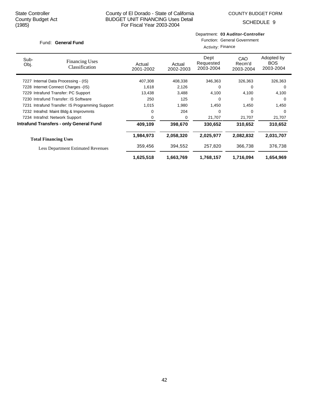Department: **03 Auditor-Controller**

SCHEDULE 9

|                                         | Fund: General Fund                              |                     | <b>Function: General Government</b><br>Activity: Finance |                                |                            |                                       |  |  |
|-----------------------------------------|-------------------------------------------------|---------------------|----------------------------------------------------------|--------------------------------|----------------------------|---------------------------------------|--|--|
| Sub-<br>Obj.                            | <b>Financing Uses</b><br>Classification         | Actual<br>2001-2002 | Actual<br>2002-2003                                      | Dept<br>Requested<br>2003-2004 | CAO<br>Recm'd<br>2003-2004 | Adopted by<br><b>BOS</b><br>2003-2004 |  |  |
| Internal Data Processing - (IS)<br>7227 |                                                 | 407,308             | 408,338                                                  | 346,363                        | 326,363                    | 326,363                               |  |  |
| 7228 Internet Connect Charges -(IS)     |                                                 | 1,618               | 2,126                                                    | 0                              | 0                          | 0                                     |  |  |
| 7229 Intrafund Transfer: PC Support     |                                                 | 13,438              | 3,488                                                    | 4,100                          | 4,100                      | 4,100                                 |  |  |
| 7230 Intrafund Transfer: IS Software    |                                                 | 250                 | 125                                                      | 0                              | 0                          | 0                                     |  |  |
|                                         | 7231 Intrafund Transfer: IS Programming Support | 1,015               | 1,980                                                    | 1,450                          | 1,450                      | 1,450                                 |  |  |
|                                         | 7232 Intrafnd: Maint Bldg & Improvmnts          | 0                   | 204                                                      | 0                              | 0                          | $\Omega$                              |  |  |
|                                         | 7234 Intrafnd: Network Support                  | 0                   | 0                                                        | 21,707                         | 21,707                     | 21,707                                |  |  |
|                                         | <b>Intrafund Transfers - only General Fund</b>  | 409,109             | 398,670                                                  | 330,652                        | 310,652                    | 310,652                               |  |  |
|                                         | <b>Total Financing Uses</b>                     | 1,984,973           | 2,058,320                                                | 2,025,977                      | 2,082,832                  | 2,031,707                             |  |  |
|                                         | <b>Less Department Estimated Revenues</b>       | 359,456             | 394,552                                                  | 257,820                        | 366,738                    | 376,738                               |  |  |
|                                         |                                                 | 1,625,518           | 1,663,769                                                | 1,768,157                      | 1,716,094                  | 1,654,969                             |  |  |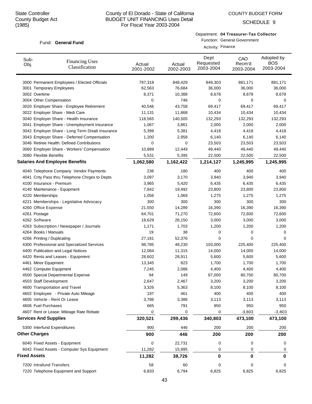# County of El Dorado - State of California BUDGET UNIT FINANCING Uses Detail For Fiscal Year 2003-2004

SCHEDULE 9

# Department: **04 Treasurer-Tax Collector**

Function: General Government

|                              | <b>Financing Uses</b><br>Classification         | Activity: Finance   |                     |                                |                            |                                       |  |
|------------------------------|-------------------------------------------------|---------------------|---------------------|--------------------------------|----------------------------|---------------------------------------|--|
| Sub-<br>Obj.                 |                                                 | Actual<br>2001-2002 | Actual<br>2002-2003 | Dept<br>Requested<br>2003-2004 | CAO<br>Recm'd<br>2003-2004 | Adopted by<br><b>BOS</b><br>2003-2004 |  |
|                              | 3000 Permanent Employees / Elected Officials    | 797,318             | 848,429             | 849,303                        | 881,171                    | 881,171                               |  |
|                              | 3001 Temporary Employees                        | 62,563              | 76,684              | 36,000                         | 36,000                     | 36,000                                |  |
| 3002 Overtime                |                                                 | 8,371               | 10,388              | 8,678                          | 8,678                      | 8,678                                 |  |
| 3004 Other Compensation      |                                                 | 0                   | 746                 | 0                              | 0                          | 0                                     |  |
|                              | 3020 Employer Share - Employee Retirement       | 40,546              | 43,758              | 69,417                         | 69,417                     | 69,417                                |  |
|                              | 3022 Employer Share - Medi Care                 | 11,131              | 11,868              | 10,434                         | 10,434                     | 10,434                                |  |
|                              | 3040 Employer Share - Health Insurance          | 118,565             | 140,505             | 132,293                        | 132,293                    | 132,293                               |  |
|                              | 3041 Employer Share - Unemployment Insurance    | 1,067               | 3,861               | 2,000                          | 2,000                      | 2,000                                 |  |
|                              | 3042 Employer Share - Long Term Disab Insurance | 5,399               | 5,381               | 4,418                          | 4,418                      | 4,418                                 |  |
|                              | 3043 Employer Share - Deferred Compensation     | 1,200               | 2,958               | 6,140                          | 6,140                      | 6,140                                 |  |
|                              | 3046 Retiree Health: Defined Contributions      | 0                   | 0                   | 23,503                         | 23,503                     | 23,503                                |  |
|                              | 3060 Employer Share - Workers' Compensation     | 10,889              | 12,449              | 49,440                         | 49,440                     | 49,440                                |  |
| 3080 Flexible Benefits       |                                                 | 5,531               | 5,395               | 22,500                         | 22,500                     | 22,500                                |  |
|                              | <b>Salaries And Employee Benefits</b>           | 1,062,580           | 1,162,422           | 1,214,127                      | 1,245,995                  | 1,245,995                             |  |
|                              | 4040 Telephone Company Vendor Payments          | 236                 | 180                 | 400                            | 400                        | 400                                   |  |
|                              | 4041 Cnty Pass thru Telephone Chrges to Depts   | 3,097               | 3,170               | 3,940                          | 3,940                      | 3,940                                 |  |
| 4100 Insurance - Premium     |                                                 | 3,965               | 5,420               | 6,435                          | 6,435                      | 6,435                                 |  |
|                              | 4140 Maintenance - Equipment                    | 7,842               | 19,492              | 23,800                         | 23,800                     | 23,800                                |  |
| 4220 Memberships             |                                                 | 1,056               | 1,069               | 1,275                          | 1,275                      | 1,275                                 |  |
|                              | 4221 Memberships - Legislative Advocacy         | 300                 | 300                 | 300                            | 300                        | 300                                   |  |
| 4260 Office Expense          |                                                 | 21,550              | 14,289              | 16,390                         | 16,390                     | 16,390                                |  |
| 4261 Postage                 |                                                 | 64,701              | 71,270              | 72,600                         | 72,600                     | 72,600                                |  |
| 4262 Software                |                                                 | 18,629              | 26,150              | 3,000                          | 3,000                      | 3,000                                 |  |
|                              | 4263 Subscription / Newspaper / Journals        | 1,171               | 1,703               | 1,200                          | 1,200                      | 1,200                                 |  |
| 4264 Books / Manuals         |                                                 | 19                  | 38                  | 0                              | 0                          | 0                                     |  |
| 4266 Printing / Duplicating  |                                                 | 27,181              | 52,376              | 0                              | 0                          | 0                                     |  |
|                              | 4300 Professional and Specialized Services      | 98,785              | 48,230              | 103,000                        | 225,400                    | 225,400                               |  |
|                              | 4400 Publication and Legal Notices              | 12,084              | 11,315              | 14,000                         | 14,000                     | 14,000                                |  |
|                              | 4420 Rents and Leases - Equipment               | 28,602              | 28,911              | 5,600                          | 5,600                      | 5,600                                 |  |
| 4461 Minor Equipment         |                                                 | 13,345              | 823                 | 1,700                          | 1,700                      | 1,700                                 |  |
| 4462 Computer Equipment      |                                                 | 7,245               | 2,086               | 4,400                          | 4,400                      | 4,400                                 |  |
|                              | 4500 Special Departmental Expense               | 94                  | 149                 | 67,000                         | 80,700                     | 80,700                                |  |
| 4503 Staff Development       |                                                 | 2,647               | 2,467               | 3,200                          | 3,200                      | 3,200                                 |  |
|                              | 4600 Transportation and Travel                  | 3,326               | 5,363               | 8,100                          | 8,100                      | 8,100                                 |  |
|                              | 4602 Employee - Private Auto Mileage            | 197                 | 461                 | 400                            | 400                        | 400                                   |  |
|                              | 4605 Vehicle - Rent Or Lease                    | 3,786               | 3,386               | 3,113                          | 3,113                      | 3,113                                 |  |
| 4606 Fuel Purchases          |                                                 | 665                 | 791                 | 950                            | 950                        | 950                                   |  |
|                              | 4607 Rent or Lease: Mileage Rate Rebate         | 0                   | 0                   | 0                              | $-3,803$                   | $-3,803$                              |  |
| <b>Services And Supplies</b> |                                                 | 320,521             | 299,436             | 340,803                        | 473,100                    | 473,100                               |  |
|                              | 5300 Interfund Expenditures                     | 900                 | 446                 | 200                            | 200                        | 200                                   |  |
| <b>Other Charges</b>         |                                                 | 900                 | 446                 | 200                            | 200                        | 200                                   |  |
|                              | 6040 Fixed Assets - Equipment                   | 0                   | 22,731              | 0                              | 0                          | 0                                     |  |
|                              | 6042 Fixed Assets - Computer Sys Equipment      | 11,282              | 15,995              | 0                              | 0                          | 0                                     |  |
| <b>Fixed Assets</b>          |                                                 | 11,282              | 38,726              | 0                              | 0                          | $\bf{0}$                              |  |
| 7200 Intrafund Transfers     |                                                 | 58                  | 60                  | 0                              | 0                          | 0                                     |  |
|                              | 7220 Telephone Equipment and Support            | 6,833               | 6,794               | 6,825                          | 6,825                      | 6,825                                 |  |
|                              |                                                 |                     |                     |                                |                            |                                       |  |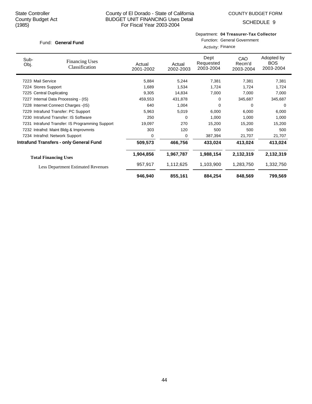# County of El Dorado - State of California BUDGET UNIT FINANCING Uses Detail For Fiscal Year 2003-2004

SCHEDULE 9

# Department: **04 Treasurer-Tax Collector** Function: General Government

|                                         |                                                 | Activity: Finance   |                     |                                |                            |                                       |
|-----------------------------------------|-------------------------------------------------|---------------------|---------------------|--------------------------------|----------------------------|---------------------------------------|
| Sub-<br>Obj.                            | <b>Financing Uses</b><br>Classification         | Actual<br>2001-2002 | Actual<br>2002-2003 | Dept<br>Requested<br>2003-2004 | CAO<br>Recm'd<br>2003-2004 | Adopted by<br><b>BOS</b><br>2003-2004 |
| 7223 Mail Service                       |                                                 | 5,884               | 5,244               | 7,381                          | 7,381                      | 7,381                                 |
| 7224 Stores Support                     |                                                 | 1,689               | 1,534               | 1,724                          | 1,724                      | 1,724                                 |
| 7225 Central Duplicating                |                                                 | 9,305               | 14,834              | 7,000                          | 7,000                      | 7,000                                 |
| Internal Data Processing - (IS)<br>7227 |                                                 | 459,553             | 431,878             | 0                              | 345,687                    | 345,687                               |
| 7228 Internet Connect Charges -(IS)     |                                                 | 640                 | 1,004               | 0                              | 0                          | $\Omega$                              |
| 7229 Intrafund Transfer: PC Support     |                                                 | 5,963               | 5,019               | 6,000                          | 6,000                      | 6,000                                 |
|                                         | 7230 Intrafund Transfer: IS Software            | 250                 | 0                   | 1,000                          | 1,000                      | 1,000                                 |
|                                         | 7231 Intrafund Transfer: IS Programming Support | 19,097              | 270                 | 15,200                         | 15,200                     | 15,200                                |
|                                         | 7232 Intrafnd: Maint Bldg & Improvmnts          | 303                 | 120                 | 500                            | 500                        | 500                                   |
|                                         | 7234 Intrafnd: Network Support                  | 0                   | 0                   | 387,394                        | 21,707                     | 21,707                                |
|                                         | <b>Intrafund Transfers - only General Fund</b>  | 509,573             | 466,756             | 433,024                        | 413,024                    | 413,024                               |
|                                         | <b>Total Financing Uses</b>                     | 1,904,856           | 1,967,787           | 1,988,154                      | 2,132,319                  | 2,132,319                             |
|                                         | <b>Less Department Estimated Revenues</b>       | 957,917             | 1,112,625           | 1,103,900                      | 1,283,750                  | 1,332,750                             |
|                                         |                                                 | 946,940             | 855,161             | 884,254                        | 848,569                    | 799,569                               |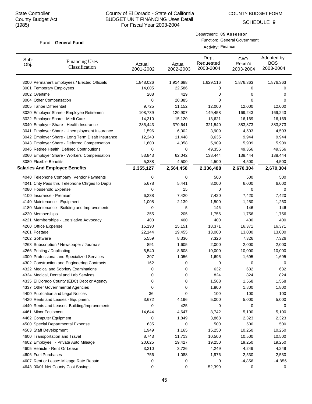# County of El Dorado - State of California BUDGET UNIT FINANCING Uses Detail For Fiscal Year 2003-2004

COUNTY BUDGET FORM

SCHEDULE 9

#### Fund: General Fund

| Fund: General Fund      |                                              |                     | Department: 05 Assessor<br>Function: General Government<br>Activity: Finance |                                |                            |                                       |  |
|-------------------------|----------------------------------------------|---------------------|------------------------------------------------------------------------------|--------------------------------|----------------------------|---------------------------------------|--|
| Sub-<br>Obj.            | <b>Financing Uses</b><br>Classification      | Actual<br>2001-2002 | Actual<br>2002-2003                                                          | Dept<br>Requested<br>2003-2004 | CAO<br>Recm'd<br>2003-2004 | Adopted by<br><b>BOS</b><br>2003-2004 |  |
|                         | 3000 Permanent Employees / Elected Officials | 1.848.026           | 1.914.688                                                                    | 1.629.116                      | 1.876.363                  | 1,876,363                             |  |
|                         | 3001 Temporary Employees                     |                     | 22,586                                                                       | 0                              |                            | 0                                     |  |
| 3002 Overtime           |                                              | 208                 | 429                                                                          | 0                              | 0                          | 0                                     |  |
| 3004 Other Compensation |                                              | 0                   | 20.885                                                                       | 0                              |                            | 0                                     |  |

| 3001 Temporary Employees                        | 14,005    | 22,586    | 0         | 0         | 0         |
|-------------------------------------------------|-----------|-----------|-----------|-----------|-----------|
| 3002 Overtime                                   | 208       | 429       | 0         | 0         | 0         |
| 3004 Other Compensation                         | 0         | 20,885    | 0         | 0         | 0         |
| 3005 Tahoe Differentail                         | 9,725     | 11,152    | 12,000    | 12,000    | 12,000    |
| 3020 Employer Share - Employee Retirement       | 108,739   | 120,907   | 149,458   | 169,243   | 169,243   |
| 3022 Employer Share - Medi Care                 | 14,310    | 15,120    | 13,621    | 16,169    | 16,169    |
| 3040 Employer Share - Health Insurance          | 285,443   | 370,641   | 321,540   | 383,873   | 383,873   |
| 3041 Employer Share - Unemployment Insurance    | 1,596     | 6,002     | 3,909     | 4,503     | 4,503     |
| 3042 Employer Share - Long Term Disab Insurance | 12,243    | 11,448    | 8,635     | 9,944     | 9,944     |
| 3043 Employer Share - Deferred Compensation     | 1,600     | 4,058     | 5,909     | 5,909     | 5,909     |
| 3046 Retiree Health: Defined Contributions      | 0         | 0         | 49,356    | 49,356    | 49,356    |
| 3060 Employer Share - Workers' Compensation     | 53,843    | 62,042    | 138,444   | 138,444   | 138,444   |
| 3080 Flexible Benefits                          | 5,388     | 4,500     | 4,500     | 4,500     | 4,500     |
| <b>Salaries And Employee Benefits</b>           | 2,355,127 | 2,564,458 | 2,336,488 | 2,670,304 | 2,670,304 |
| 4040 Telephone Company Vendor Payments          | 0         | 0         | 500       | 500       | 500       |
| 4041 Cnty Pass thru Telephone Chrges to Depts   | 5,678     | 5,441     | 8,000     | 6,000     | 6,000     |
| 4080 Household Expense                          | 0         | 15        | 0         | 0         | 0         |
| 4100 Insurance - Premium                        | 6,238     | 7,420     | 7,420     | 7,420     | 7,420     |
| 4140 Maintenance - Equipment                    | 1,008     | 2,139     | 1,500     | 1,250     | 1,250     |
| 4180 Maintenance - Building and Improvements    | 0         | 5         | 146       | 146       | 146       |
| 4220 Memberships                                | 355       | 205       | 1,756     | 1,756     | 1,756     |
| 4221 Memberships - Legislative Advocacy         | 400       | 400       | 400       | 400       | 400       |
| 4260 Office Expense                             | 15,190    | 15,151    | 18,371    | 16,371    | 16,371    |
| 4261 Postage                                    | 22,144    | 19,455    | 13,000    | 13,000    | 13,000    |
| 4262 Software                                   | 5,559     | 8,336     | 7,326     | 7,326     | 7,326     |
| 4263 Subscription / Newspaper / Journals        | 891       | 1,605     | 2,000     | 2,000     | 2,000     |
| 4266 Printing / Duplicating                     | 5,540     | 8,608     | 10,000    | 10,000    | 10,000    |
| 4300 Professional and Specialized Services      | 307       | 1,056     | 1,695     | 1,695     | 1,695     |
| 4302 Construction and Engineering Contracts     | 162       | 0         | 0         | 0         | 0         |
| 4322 Medical and Sobriety Examinations          | 0         | 0         | 632       | 632       | 632       |
| 4324 Medical, Dental and Lab Services           | 0         | 0         | 824       | 824       | 824       |
| 4335 El Dorado County (EDC) Dept or Agency      | 0         | 0         | 1,568     | 1,568     | 1,568     |
| 4337 Other Governmental Agencies                | 0         | 0         | 1,800     | 1,800     | 1,800     |
| 4400 Publication and Legal Notices              | 36        | 0         | 100       | 100       | 100       |
| 4420 Rents and Leases - Equipment               | 3,672     | 4,196     | 5,000     | 5,000     | 5,000     |
| 4440 Rents and Leases- Building/Improvements    | 0         | 425       | 0         | 0         | 0         |
| 4461 Minor Equipment                            | 14,644    | 4,647     | 8,742     | 5,100     | 5,100     |
| 4462 Computer Equipment                         | 0         | 1,849     | 3,868     | 2,323     | 2,323     |
| 4500 Special Departmental Expense               | 635       | 0         | 500       | 500       | 500       |
| 4503 Staff Development                          | 1,949     | 1,165     | 15,250    | 10,250    | 10,250    |
| 4600 Transportation and Travel                  | 8,743     | 11,713    | 10,500    | 10,500    | 10,500    |
| 4602 Employee - Private Auto Mileage            | 20,625    | 19,427    | 19,250    | 19,250    | 19,250    |
| 4605 Vehicle - Rent Or Lease                    | 3,210     | 3,726     | 4,249     | 4,249     | 4,249     |
| 4606 Fuel Purchases                             | 756       | 1,088     | 1,976     | 2,530     | 2,530     |
| 4607 Rent or Lease: Mileage Rate Rebate         | 0         | 0         | 0         | $-4,856$  | $-4,856$  |
| 4643 00/01 Net County Cost Savings              | 0         | 0         | $-52,390$ | 0         | 0         |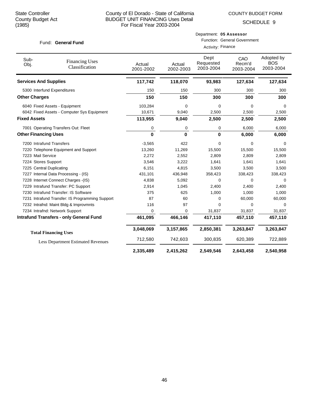COUNTY BUDGET FORM

Department: **05 Assessor**

SCHEDULE 9

| Fund: General Fund           |                                                 |                     | <b>Function: General Government</b><br>Activity: Finance |                                |                            |                                       |  |
|------------------------------|-------------------------------------------------|---------------------|----------------------------------------------------------|--------------------------------|----------------------------|---------------------------------------|--|
| Sub-<br>Obj.                 | <b>Financing Uses</b><br>Classification         | Actual<br>2001-2002 | Actual<br>2002-2003                                      | Dept<br>Requested<br>2003-2004 | CAO<br>Recm'd<br>2003-2004 | Adopted by<br><b>BOS</b><br>2003-2004 |  |
| <b>Services And Supplies</b> |                                                 | 117,742             | 118,070                                                  | 93,983                         | 127,634                    | 127,634                               |  |
| 5300 Interfund Expenditures  |                                                 | 150                 | 150                                                      | 300                            | 300                        | 300                                   |  |
| <b>Other Charges</b>         |                                                 | 150                 | 150                                                      | 300                            | 300                        | 300                                   |  |
|                              | 6040 Fixed Assets - Equipment                   | 103,284             | $\mathbf 0$                                              | 0                              | $\Omega$                   | $\Omega$                              |  |
|                              | 6042 Fixed Assets - Computer Sys Equipment      | 10,671              | 9,040                                                    | 2,500                          | 2,500                      | 2,500                                 |  |
| <b>Fixed Assets</b>          |                                                 | 113,955             | 9,040                                                    | 2,500                          | 2,500                      | 2,500                                 |  |
|                              | 7001 Operating Transfers Out: Fleet             | 0                   | $\pmb{0}$                                                | 0                              | 6,000                      | 6,000                                 |  |
| <b>Other Financing Uses</b>  |                                                 | $\bf{0}$            | $\bf{0}$                                                 | $\bf{0}$                       | 6,000                      | 6,000                                 |  |
| 7200 Intrafund Transfers     |                                                 | $-3,565$            | 422                                                      | 0                              | 0                          | $\Omega$                              |  |
|                              | 7220 Telephone Equipment and Support            | 13,260              | 11,269                                                   | 15,500                         | 15,500                     | 15,500                                |  |
| 7223 Mail Service            |                                                 | 2,272               | 2,552                                                    | 2,809                          | 2,809                      | 2,809                                 |  |
| 7224 Stores Support          |                                                 | 3,546               | 3,222                                                    | 1,641                          | 1,641                      | 1,641                                 |  |
| 7225 Central Duplicating     |                                                 | 6,151               | 4,815                                                    | 3,500                          | 3,500                      | 3,500                                 |  |
|                              | 7227 Internal Data Processing - (IS)            | 431,101             | 436,948                                                  | 358,423                        | 338,423                    | 338,423                               |  |
|                              | 7228 Internet Connect Charges -(IS)             | 4,838               | 5,092                                                    | 0                              | 0                          | 0                                     |  |
|                              | 7229 Intrafund Transfer: PC Support             | 2,914               | 1,045                                                    | 2,400                          | 2,400                      | 2,400                                 |  |
|                              | 7230 Intrafund Transfer: IS Software            | 375                 | 625                                                      | 1,000                          | 1,000                      | 1,000                                 |  |
|                              | 7231 Intrafund Transfer: IS Programming Support | 87                  | 60                                                       | 0                              | 60,000                     | 60,000                                |  |
|                              | 7232 Intrafnd: Maint Bldg & Improvmnts          | 116                 | 97                                                       | $\Omega$                       | $\Omega$                   | $\Omega$                              |  |
|                              | 7234 Intrafnd: Network Support                  | $\mathbf 0$         | $\Omega$                                                 | 31,837                         | 31,837                     | 31,837                                |  |
|                              | <b>Intrafund Transfers - only General Fund</b>  | 461,095             | 466,146                                                  | 417,110                        | 457,110                    | 457,110                               |  |
|                              | <b>Total Financing Uses</b>                     | 3,048,069           | 3,157,865                                                | 2,850,381                      | 3,263,847                  | 3,263,847                             |  |
|                              | <b>Less Department Estimated Revenues</b>       | 712,580             | 742,603                                                  | 300,835                        | 620,389                    | 722,889                               |  |
|                              |                                                 | 2,335,489           | 2,415,262                                                | 2,549,546                      | 2,643,458                  | 2,540,958                             |  |

# 46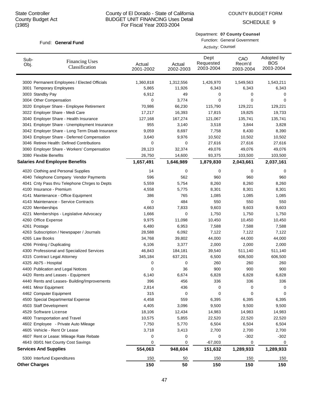Department: **07 County Counsel** Function: General Government

Activity: Counsel

SCHEDULE 9

# Fund: General Fund

| Sub-<br>Obj.                 | <b>Financing Uses</b><br>Classification         | Actual<br>2001-2002 | Actual<br>2002-2003 | Dept<br>Requested<br>2003-2004 | CAO<br>Recm'd<br>2003-2004 | Adopted by<br>BOS<br>2003-2004 |
|------------------------------|-------------------------------------------------|---------------------|---------------------|--------------------------------|----------------------------|--------------------------------|
|                              | 3000 Permanent Employees / Elected Officials    | 1,360,818           | 1,312,556           | 1,426,970                      | 1,549,563                  | 1,543,211                      |
|                              | 3001 Temporary Employees                        | 5,865               | 11,926              | 6,343                          | 6,343                      | 6,343                          |
| 3003 Standby Pay             |                                                 | 6,912               | 49                  | 0                              | 0                          | 0                              |
|                              | 3004 Other Compensation                         | 0                   | 3,774               | 0                              | 0                          | 0                              |
|                              | 3020 Employer Share - Employee Retirement       | 70,986              | 66,230              | 115,790                        | 129,221                    | 129,221                        |
|                              | 3022 Employer Share - Medi Care                 | 17,217              | 16,393              | 17,815                         | 19,825                     | 19,733                         |
|                              | 3040 Employer Share - Health Insurance          | 127,168             | 167,274             | 121,067                        | 135,741                    | 135,741                        |
|                              | 3041 Employer Share - Unemployment Insurance    | 955                 | 3,140               | 3,518                          | 3,844                      | 3,828                          |
|                              | 3042 Employer Share - Long Term Disab Insurance | 9,059               | 8,697               | 7,758                          | 8,430                      | 8,390                          |
|                              | 3043 Employer Share - Deferred Compensation     | 3,640               | 9,976               | 10,502                         | 10,502                     | 10,502                         |
|                              | 3046 Retiree Health: Defined Contributions      | 0                   | 0                   | 27,616                         | 27,616                     | 27,616                         |
|                              | 3060 Employer Share - Workers' Compensation     | 28,123              | 32,374              | 49,076                         | 49,076                     | 49,076                         |
| 3080 Flexible Benefits       |                                                 | 26,750              | 14,600              | 93,375                         | 103,500                    | 103,500                        |
|                              | <b>Salaries And Employee Benefits</b>           | 1,657,491           | 1,646,989           | 1,879,830                      | 2,043,661                  | 2,037,161                      |
|                              | 4020 Clothing and Personal Supplies             | 14                  | 0                   | 0                              | 0                          | 0                              |
|                              | 4040 Telephone Company Vendor Payments          | 596                 | 562                 | 960                            | 960                        | 960                            |
|                              | 4041 Cnty Pass thru Telephone Chrges to Depts   | 5,559               | 5,754               | 8,260                          | 8,260                      | 8,260                          |
|                              | 4100 Insurance - Premium                        | 4,558               | 5,775               | 8,301                          | 8,301                      | 8,301                          |
|                              | 4141 Maintenance - Office Equipment             | 386                 | 765                 | 1,085                          | 1,085                      | 1,085                          |
|                              | 4143 Maintenance - Service Contracts            | 0                   | 484                 | 550                            | 550                        | 550                            |
| 4220 Memberships             |                                                 | 4,663               | 7,833               | 9,603                          | 9,603                      | 9,603                          |
|                              | 4221 Memberships - Legislative Advocacy         | 1,666               | 0                   | 1,750                          | 1,750                      | 1,750                          |
| 4260 Office Expense          |                                                 | 9,975               | 11,098              | 10,450                         | 10,450                     | 10,450                         |
| 4261 Postage                 |                                                 | 6,480               | 6,953               | 7,588                          | 7,588                      | 7,588                          |
|                              | 4263 Subscription / Newspaper / Journals        | 28,588              | 6,092               | 7,122                          | 7,122                      | 7,122                          |
| 4265 Law Books               |                                                 | 34,768              | 39,802              | 44,000                         | 44,000                     | 44,000                         |
|                              | 4266 Printing / Duplicating                     | 6,106               | 3,377               | 2,000                          | 2,000                      | 2,000                          |
|                              | 4300 Professional and Specialized Services      | 46,843              | 184,181             | 39,540                         | 511,140                    | 511,140                        |
|                              | 4315 Contract Legal Attorney                    | 345,184             | 637,201             | 6,500                          | 606,500                    | 606,500                        |
| 4325 Ab75 - Hospital         |                                                 | 0                   | 0                   | 260                            | 260                        | 260                            |
|                              | 4400 Publication and Legal Notices              | 0                   | 36                  | 900                            | 900                        | 900                            |
|                              | 4420 Rents and Leases - Equipment               | 6,140               | 6,674               | 6,828                          | 6,828                      | 6,828                          |
|                              | 4440 Rents and Leases- Building/Improvements    | 396                 | 456                 | 336                            | 336                        | 336                            |
| 4461 Minor Equipment         |                                                 | 2,814               | 436                 | 0                              | 0                          | 0                              |
|                              | 4462 Computer Equipment                         | 315                 | 0                   | 0                              | 0                          | 0                              |
|                              | 4500 Special Departmental Expense               | 4,458               | 559                 | 6,395                          | 6,395                      | 6,395                          |
|                              | 4503 Staff Development                          | 4,405               | 3,096               | 9,500                          | 9,500                      | 9,500                          |
|                              | 4529 Software License                           | 18,106              | 12,434              | 14,983                         | 14,983                     | 14,983                         |
|                              | 4600 Transportation and Travel                  | 10,575              | 5,855               | 22,520                         | 22,520                     | 22,520                         |
|                              | 4602 Employee - Private Auto Mileage            | 7,750               | 5,770               | 6,504                          | 6,504                      | 6,504                          |
|                              | 4605 Vehicle - Rent Or Lease                    | 3,718               | 3,413               | 2,700                          | 2,700                      | 2,700                          |
|                              | 4607 Rent or Lease: Mileage Rate Rebate         | 0                   | 0                   | 0                              | $-302$                     | $-302$                         |
|                              | 4643 00/01 Net County Cost Savings              | 0                   | 0                   | $-67,003$                      | 0                          | 0                              |
| <b>Services And Supplies</b> |                                                 | 554,063             | 948,604             | 151,632                        | 1,289,933                  | 1,289,933                      |
|                              | 5300 Interfund Expenditures                     | 150                 | 50                  | 150                            | 150                        | 150                            |
| <b>Other Charges</b>         |                                                 | 150                 | 50                  | 150                            | 150                        | 150                            |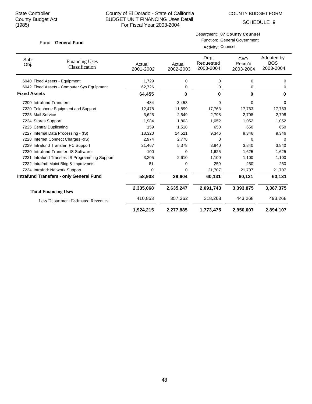SCHEDULE 9

#### Fund: General Fund

Function: General Government Activity: Counsel

| Sub-<br>Obj.             | <b>Financing Uses</b><br>Classification         | Actual<br>2001-2002 | Actual<br>2002-2003 | Dept<br>Requested<br>2003-2004 | CAO<br>Recm'd<br>2003-2004 | Adopted by<br><b>BOS</b><br>2003-2004 |
|--------------------------|-------------------------------------------------|---------------------|---------------------|--------------------------------|----------------------------|---------------------------------------|
|                          | 6040 Fixed Assets - Equipment                   | 1,729               | 0                   | 0                              | 0                          | 0                                     |
|                          | 6042 Fixed Assets - Computer Sys Equipment      | 62,726              | 0                   | 0                              | 0                          | 0                                     |
| <b>Fixed Assets</b>      |                                                 | 64,455              | 0                   | 0                              | 0                          | $\bf{0}$                              |
| 7200 Intrafund Transfers |                                                 | $-484$              | $-3,453$            | $\mathbf 0$                    | 0                          | 0                                     |
|                          | 7220 Telephone Equipment and Support            | 12,478              | 11,899              | 17,763                         | 17,763                     | 17,763                                |
| 7223 Mail Service        |                                                 | 3,625               | 2,549               | 2,798                          | 2,798                      | 2,798                                 |
| 7224 Stores Support      |                                                 | 1,984               | 1,803               | 1.052                          | 1,052                      | 1,052                                 |
| 7225 Central Duplicating |                                                 | 159                 | 1,518               | 650                            | 650                        | 650                                   |
|                          | 7227 Internal Data Processing - (IS)            | 13,320              | 14,521              | 9,346                          | 9,346                      | 9,346                                 |
|                          | 7228 Internet Connect Charges - (IS)            | 2,974               | 2,778               | $\Omega$                       | $\Omega$                   | $\Omega$                              |
|                          | 7229 Intrafund Transfer: PC Support             | 21,467              | 5,378               | 3,840                          | 3,840                      | 3,840                                 |
|                          | 7230 Intrafund Transfer: IS Software            | 100                 | 0                   | 1,625                          | 1,625                      | 1,625                                 |
|                          | 7231 Intrafund Transfer: IS Programming Support | 3,205               | 2,610               | 1,100                          | 1,100                      | 1,100                                 |
|                          | 7232 Intrafnd: Maint Bldg & Improvmnts          | 81                  | 0                   | 250                            | 250                        | 250                                   |
|                          | 7234 Intrafnd: Network Support                  | 0                   | 0                   | 21,707                         | 21,707                     | 21,707                                |
|                          | <b>Intrafund Transfers - only General Fund</b>  | 58,908              | 39,604              | 60,131                         | 60,131                     | 60,131                                |
|                          | <b>Total Financing Uses</b>                     | 2,335,068           | 2,635,247           | 2,091,743                      | 3,393,875                  | 3,387,375                             |
|                          | <b>Less Department Estimated Revenues</b>       | 410,853             | 357,362             | 318,268                        | 443,268                    | 493,268                               |
|                          |                                                 | 1,924,215           | 2,277,885           | 1,773,475                      | 2,950,607                  | 2,894,107                             |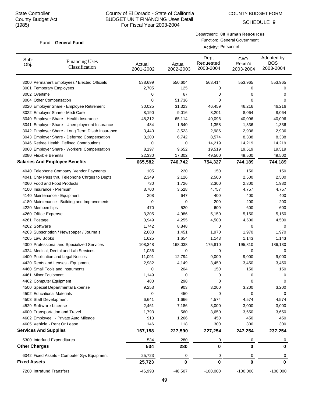SCHEDULE 9

#### Fund: General Fund

Department: **08 Human Resources**

Function: General Government Activity: Personnel

| Sub-<br><b>Financing Uses</b><br>Obj.<br>Classification      | Actual<br>2001-2002 | Actual<br>2002-2003 | Dept<br>Requested<br>2003-2004 | CAO<br>Recm'd<br>2003-2004 | Adopted by<br><b>BOS</b><br>2003-2004 |
|--------------------------------------------------------------|---------------------|---------------------|--------------------------------|----------------------------|---------------------------------------|
| 3000 Permanent Employees / Elected Officials                 | 538,699             | 550,604             | 563,414                        | 553,965                    | 553,965                               |
| 3001 Temporary Employees                                     | 2,705               | 125                 | 0                              | 0                          | 0                                     |
| 3002 Overtime                                                | 0                   | 67                  | 0                              | 0                          | 0                                     |
| 3004 Other Compensation                                      | 0                   | 51,736              | 0                              | 0                          | 0                                     |
| 3020 Employer Share - Employee Retirement                    | 30,025              | 31,323              | 46,459                         | 46,216                     | 46,216                                |
| 3022 Employer Share - Medi Care                              | 8,190               | 9,016               | 8,201                          | 8,064                      | 8,064                                 |
| 3040 Employer Share - Health Insurance                       | 48,312              | 65,114              | 40,096                         | 40,096                     | 40,096                                |
| 3041 Employer Share - Unemployment Insurance                 | 484                 | 1,540               | 1,358                          | 1,336                      | 1,336                                 |
| 3042 Employer Share - Long Term Disab Insurance              | 3,440               | 3,523               | 2,986                          | 2,936                      | 2,936                                 |
| 3043 Employer Share - Deferred Compensation                  | 3,200               | 6,742               | 8,574                          | 8,338                      | 8,338                                 |
| 3046 Retiree Health: Defined Contributions                   | 0                   | 0                   | 14,219                         | 14,219                     | 14,219                                |
| 3060 Employer Share - Workers' Compensation                  | 8,197               | 9,652               | 19,519                         | 19,519                     | 19,519                                |
| 3080 Flexible Benefits                                       | 22,330              | 17,302              | 49,500                         | 49,500                     | 49,500                                |
| <b>Salaries And Employee Benefits</b>                        | 665,582             | 746,742             | 754,327                        | 744,189                    | 744,189                               |
| 4040 Telephone Company Vendor Payments                       | 105                 | 220                 | 150                            | 150                        | 150                                   |
| 4041 Cnty Pass thru Telephone Chrges to Depts                | 2,349               | 2,126               | 2,500                          | 2,500                      | 2,500                                 |
| 4060 Food and Food Products                                  | 730                 | 1,726               | 2,300                          | 2,300                      | 1,980                                 |
| 4100 Insurance - Premium                                     | 3,700               | 3,528               | 4,757                          | 4,757                      | 4,757                                 |
| 4140 Maintenance - Equipment                                 | 208                 | 647                 | 400                            | 400                        | 400                                   |
| 4180 Maintenance - Building and Improvements                 | 0                   | 0                   | 200                            | 200                        | 200                                   |
| 4220 Memberships                                             | 470                 | 520                 | 600                            | 600                        | 600                                   |
| 4260 Office Expense                                          | 3,305               | 4,986               | 5,150                          | 5,150                      | 5,150                                 |
| 4261 Postage                                                 | 3,949               | 4,255               | 4,500                          | 4,500                      | 4,500                                 |
| 4262 Software                                                | 1,742               | 8,848               | 0                              | 0                          | 0                                     |
| 4263 Subscription / Newspaper / Journals                     | 2,683               | 1,451               | 1,970                          | 1,970                      | 1,970                                 |
| 4265 Law Books                                               | 1,625               | 1,654               | 1,143                          | 1,143                      | 1,143                                 |
| 4300 Professional and Specialized Services                   | 108,348             | 168,038             | 175,810                        | 195,810                    | 186,130                               |
| 4324 Medical, Dental and Lab Services                        | 1,036               | 0                   | 0                              | 0                          | 0                                     |
| 4400 Publication and Legal Notices                           | 11,091              | 12,794              | 9,000                          | 9,000                      | 9,000                                 |
| 4420 Rents and Leases - Equipment                            | 2,982               | 4,149               | 3,450                          | 3,450                      | 3,450                                 |
| 4460 Small Tools and Instruments                             | 0                   | 204                 | 150                            | 150                        | 150                                   |
| 4461 Minor Equipment                                         | 1,149               | 0                   | 0                              | 0                          | 0                                     |
| 4462 Computer Equipment                                      | 480                 | 298                 | 0                              | 0                          | 0                                     |
| 4500 Special Departmental Expense                            | 9,253               | 903                 | 3,200                          | 3,200                      | 3,200                                 |
| 4502 Educational Materials                                   | 0                   | 450                 | 0                              | 0                          | 0                                     |
| 4503 Staff Development                                       | 6,641               | 1,666               | 4,574                          | 4,574                      | 4,574                                 |
| 4529 Software License                                        | 2,461               | 7,186               | 3,000                          | 3,000                      | 3,000                                 |
| 4600 Transportation and Travel                               | 1,793               | 560                 | 3,650                          | 3,650                      | 3,650                                 |
| 4602 Employee - Private Auto Mileage                         | 913                 | 1,266               | 450                            | 450                        | 450                                   |
| 4605 Vehicle - Rent Or Lease<br><b>Services And Supplies</b> | 146<br>167,158      | 118<br>227,590      | 300<br>227,254                 | 300<br>247,254             | 300<br>237,254                        |
|                                                              |                     |                     |                                |                            |                                       |
| 5300 Interfund Expenditures<br><b>Other Charges</b>          | 534<br>534          | 280<br>280          | 0<br>0                         | 0<br>0                     | 0<br>0                                |
| 6042 Fixed Assets - Computer Sys Equipment                   | 25,723              | 0                   | 0                              | 0                          | 0                                     |
| <b>Fixed Assets</b>                                          | 25,723              | 0                   | 0                              | 0                          | $\bf{0}$                              |
| 7200 Intrafund Transfers                                     | $-46,993$           | $-48,507$           | $-100,000$                     | $-100,000$                 | $-100,000$                            |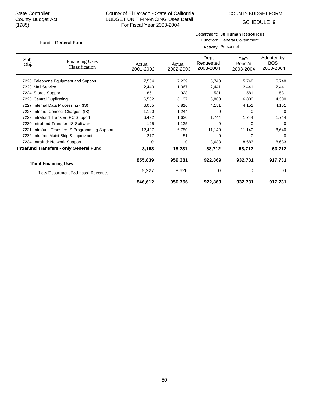COUNTY BUDGET FORM

SCHEDULE 9

#### Fund: General Fund

|           |        |                   | Department: 08 Human Resources      |            |  |  |
|-----------|--------|-------------------|-------------------------------------|------------|--|--|
|           |        |                   | <b>Function: General Government</b> |            |  |  |
|           |        |                   | Activity: Personnel                 |            |  |  |
| ا میں بام | ادین ۸ | Dept<br>Requested | CAO<br>Recm'd                       | Adopted by |  |  |

| Sub-<br>Obj.      | <b>Financing Uses</b><br>Classification         | Actual<br>2001-2002 | Actual<br>2002-2003 | Dept<br>Requested<br>2003-2004 | CAO<br>Recm'd<br>2003-2004 | Adopted by<br><b>BOS</b><br>2003-2004 |
|-------------------|-------------------------------------------------|---------------------|---------------------|--------------------------------|----------------------------|---------------------------------------|
|                   | 7220 Telephone Equipment and Support            | 7,534               | 7,239               | 5,748                          | 5,748                      | 5,748                                 |
| 7223 Mail Service |                                                 | 2,443               | 1,367               | 2,441                          | 2,441                      | 2,441                                 |
|                   | 7224 Stores Support                             | 861                 | 928                 | 581                            | 581                        | 581                                   |
| 7225              | <b>Central Duplicating</b>                      | 6,502               | 6,137               | 6,800                          | 6,800                      | 4,300                                 |
|                   | 7227 Internal Data Processing - (IS)            | 6,055               | 6,816               | 4,151                          | 4,151                      | 4,151                                 |
|                   | 7228 Internet Connect Charges - (IS)            | 1,120               | 1,244               | 0                              | 0                          | 0                                     |
|                   | 7229 Intrafund Transfer: PC Support             | 6,492               | 1,620               | 1,744                          | 1,744                      | 1,744                                 |
|                   | 7230 Intrafund Transfer: IS Software            | 125                 | 1,125               | 0                              | 0                          | $\Omega$                              |
|                   | 7231 Intrafund Transfer: IS Programming Support | 12,427              | 6,750               | 11,140                         | 11,140                     | 8,640                                 |
|                   | 7232 Intrafnd: Maint Bldg & Improvmnts          | 277                 | 51                  | 0                              | 0                          | $\Omega$                              |
|                   | 7234 Intrafnd: Network Support                  | 0                   | 0                   | 8,683                          | 8,683                      | 8,683                                 |
|                   | <b>Intrafund Transfers - only General Fund</b>  | $-3,158$            | $-15,231$           | $-58,712$                      | $-58,712$                  | $-63,712$                             |
|                   | <b>Total Financing Uses</b>                     | 855,839             | 959,381             | 922,869                        | 932,731                    | 917,731                               |
|                   | <b>Less Department Estimated Revenues</b>       | 9,227               | 8,626               | 0                              | 0                          | 0                                     |
|                   |                                                 | 846,612             | 950,756             | 922,869                        | 932,731                    | 917,731                               |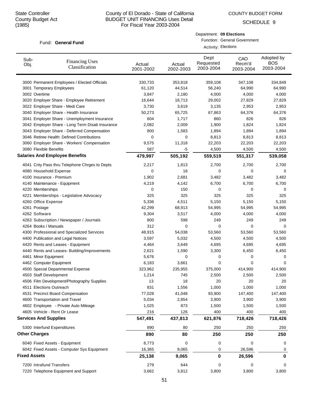COUNTY BUDGET FORM

SCHEDULE 9

#### Fund: General Fund

Department: **09 Elections**

Function: General Government

| <b>Activity: Elections</b> |  |
|----------------------------|--|
|----------------------------|--|

| Sub-<br>Obj.        | <b>Financing Uses</b><br>Classification         | Actual<br>2001-2002 | Actual<br>2002-2003 | Dept<br>Requested<br>2003-2004 | CAO<br>Recm'd<br>2003-2004 | Adopted by<br><b>BOS</b><br>2003-2004 |
|---------------------|-------------------------------------------------|---------------------|---------------------|--------------------------------|----------------------------|---------------------------------------|
|                     | 3000 Permanent Employees / Elected Officials    | 330,733             | 353,818             | 359,108                        | 347,108                    | 334,849                               |
|                     | 3001 Temporary Employees                        | 61,120              | 44,514              | 56,240                         | 64,990                     | 64,990                                |
|                     | 3002 Overtime                                   | 3,847               | 2,180               | 4,000                          | 4,000                      | 4,000                                 |
|                     | 3020 Employer Share - Employee Retirement       | 16,644              | 18,713              | 29,002                         | 27,829                     | 27,829                                |
|                     | 3022 Employer Share - Medi Care                 | 3,730               | 3,619               | 3,135                          | 2,953                      | 2,953                                 |
|                     | 3040 Employer Share - Health Insurance          | 50,273              | 65,725              | 67,863                         | 64,376                     | 64,376                                |
|                     | 3041 Employer Share - Unemployment Insurance    | 604                 | 1,717               | 860                            | 826                        | 826                                   |
|                     | 3042 Employer Share - Long Term Disab Insurance | 2,082               | 2,009               | 1,900                          | 1,824                      | 1,824                                 |
|                     | 3043 Employer Share - Deferred Compensation     | 800                 | 1,583               | 1,894                          | 1,894                      | 1,894                                 |
|                     | 3046 Retiree Health: Defined Contributions      | 0                   | 0                   | 8,813                          | 8,813                      | 8,813                                 |
|                     | 3060 Employer Share - Workers' Compensation     | 9,575               | 11,318              | 22,203                         | 22,203                     | 22,203                                |
|                     | 3080 Flexible Benefits                          | 587                 | -5                  | 4,500                          | 4,500                      | 4,500                                 |
|                     | <b>Salaries And Employee Benefits</b>           | 479,997             | 505,192             | 559,519                        | 551,317                    | 539,058                               |
|                     | 4041 Cnty Pass thru Telephone Chrges to Depts   | 2,217               | 1,813               | 2,700                          | 2,700                      | 2,700                                 |
|                     | 4080 Household Expense                          | 0                   | 18                  | 0                              | $\mathbf 0$                | 0                                     |
|                     | 4100 Insurance - Premium                        | 1,902               | 2,681               | 3,482                          | 3,482                      | 3,482                                 |
|                     | 4140 Maintenance - Equipment                    | 4,219               | 4,142               | 6,700                          | 6,700                      | 6,700                                 |
|                     | 4220 Memberships                                | 0                   | 150                 | 0                              | 0                          | 0                                     |
|                     | 4221 Memberships - Legislative Advocacy         | 325                 | 325                 | 325                            | 325                        | 325                                   |
|                     | 4260 Office Expense                             | 5,336               | 4,511               | 5,150                          | 5,150                      | 5,150                                 |
|                     | 4261 Postage                                    | 42,299              | 68,913              | 54,995                         | 54,995                     | 54,995                                |
|                     | 4262 Software                                   | 9,304               | 3,517               | 4,000                          | 4,000                      | 4,000                                 |
|                     | 4263 Subscription / Newspaper / Journals        | 800                 | 598                 | 249                            | 249                        | 249                                   |
|                     | 4264 Books / Manuals                            | 312                 | 0                   | 0                              | $\mathbf 0$                | 0                                     |
|                     | 4300 Professional and Specialized Services      | 48,915              | 54,038              | 53,560                         | 53,560                     | 53,560                                |
|                     | 4400 Publication and Legal Notices              | 3,597               | 5,032               | 4,500                          | 4,500                      | 4,500                                 |
|                     | 4420 Rents and Leases - Equipment               | 4,464               | 3,649               | 4,695                          | 4,695                      | 4,695                                 |
|                     | 4440 Rents and Leases- Building/Improvements    | 2,621               | 1,590               | 3,300                          | 6,450                      | 6,450                                 |
|                     | 4461 Minor Equipment                            | 5,676               | 0                   | 0                              | 0                          | 0                                     |
|                     | 4462 Computer Equipment                         | 6,183               | 3,661               | 0                              | 0                          | 0                                     |
|                     | 4500 Special Departmental Expense               | 323,962             | 235,955             | 375,000                        | 414,900                    | 414,900                               |
|                     | 4503 Staff Development                          | 1,214               | 745                 | 2,500                          | 2,500                      | 2,500                                 |
|                     | 4506 Film Development/Photography Supplies      | 13                  | 18                  | 20                             | 20                         | 20                                    |
|                     | 4511 Elections Outreach                         | 831                 | 1,556               | 1,000                          | 1,000                      | 1,000                                 |
|                     | 4531 Precinct Board Compensation                | 77,028              | 41,048              | 93,900                         | 147,400                    | 147,400                               |
|                     | 4600 Transportation and Travel                  | 5,034               | 2,854               | 3,900                          | 3,900                      | 3,900                                 |
|                     | 4602 Employee - Private Auto Mileage            | 1,025               | 873                 | 1,500                          | 1,500                      | 1,500                                 |
|                     | 4605 Vehicle - Rent Or Lease                    | 216                 | 126                 | 400                            | 400                        | 400                                   |
|                     | <b>Services And Supplies</b>                    | 547,491             | 437,813             | 621,876                        | 718,426                    | 718,426                               |
|                     | 5300 Interfund Expenditures                     | 890                 | 80                  | 250                            | 250                        | 250                                   |
|                     | <b>Other Charges</b>                            | 890                 | 80                  | 250                            | 250                        | 250                                   |
|                     | 6040 Fixed Assets - Equipment                   | 8,773               | 0                   | 0                              | 0                          | 0                                     |
|                     | 6042 Fixed Assets - Computer Sys Equipment      | 16,365              | 9,065               | 0                              | 26,596                     | 0                                     |
| <b>Fixed Assets</b> |                                                 | 25,138              | 9,065               | 0                              | 26,596                     | 0                                     |
|                     | 7200 Intrafund Transfers                        | 279                 | 644                 | 0                              | 0                          | 0                                     |
|                     | 7220 Telephone Equipment and Support            | 3,662               | 3,812               | 3,800                          | 3,800                      | 3,800                                 |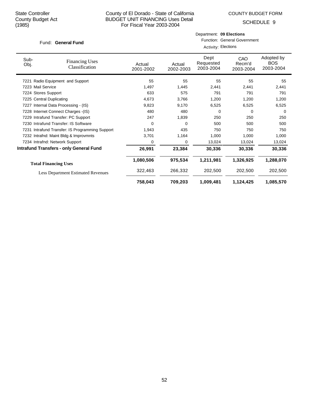COUNTY BUDGET FORM

Department: **09 Elections**

SCHEDULE 9

| Fund: General Fund       |                                                 |                     | <b>Function: General Government</b> |                                |                            |                                       |  |
|--------------------------|-------------------------------------------------|---------------------|-------------------------------------|--------------------------------|----------------------------|---------------------------------------|--|
|                          |                                                 |                     |                                     | Activity: Elections            |                            |                                       |  |
| Sub-<br>Obj.             | <b>Financing Uses</b><br>Classification         | Actual<br>2001-2002 | Actual<br>2002-2003                 | Dept<br>Requested<br>2003-2004 | CAO<br>Recm'd<br>2003-2004 | Adopted by<br><b>BOS</b><br>2003-2004 |  |
|                          | 7221 Radio Equipment and Support                | 55                  | 55                                  | 55                             | 55                         | 55                                    |  |
| 7223 Mail Service        |                                                 | 1,497               | 1,445                               | 2,441                          | 2,441                      | 2,441                                 |  |
| 7224 Stores Support      |                                                 | 633                 | 575                                 | 791                            | 791                        | 791                                   |  |
| 7225 Central Duplicating |                                                 | 4,673               | 3,766                               | 1,200                          | 1,200                      | 1,200                                 |  |
|                          | 7227 Internal Data Processing - (IS)            | 9,823               | 9,170                               | 6,525                          | 6,525                      | 6,525                                 |  |
|                          | 7228 Internet Connect Charges - (IS)            | 480                 | 480                                 | 0                              | 0                          | 0                                     |  |
|                          | 7229 Intrafund Transfer: PC Support             | 247                 | 1,839                               | 250                            | 250                        | 250                                   |  |
|                          | 7230 Intrafund Transfer: IS Software            | 0                   | 0                                   | 500                            | 500                        | 500                                   |  |
|                          | 7231 Intrafund Transfer: IS Programming Support | 1,943               | 435                                 | 750                            | 750                        | 750                                   |  |
|                          | 7232 Intrafnd: Maint Bldg & Improvmnts          | 3,701               | 1,164                               | 1,000                          | 1,000                      | 1,000                                 |  |
|                          | 7234 Intrafnd: Network Support                  | 0                   | 0                                   | 13,024                         | 13,024                     | 13,024                                |  |
|                          | <b>Intrafund Transfers - only General Fund</b>  | 26,991              | 23,384                              | 30,336                         | 30,336                     | 30,336                                |  |
|                          | <b>Total Financing Uses</b>                     | 1,080,506           | 975,534                             | 1,211,981                      | 1,326,925                  | 1,288,070                             |  |
|                          | <b>Less Department Estimated Revenues</b>       | 322,463             | 266,332                             | 202,500                        | 202,500                    | 202,500                               |  |
|                          |                                                 | 758,043             | 709,203                             | 1,009,481                      | 1,124,425                  | 1,085,570                             |  |

52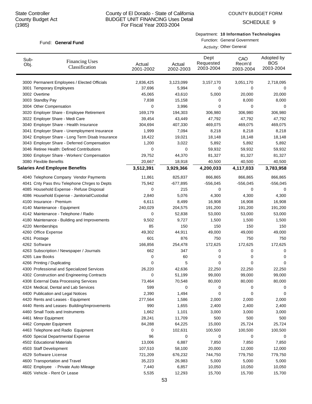# County of El Dorado - State of California BUDGET UNIT FINANCING Uses Detail For Fiscal Year 2003-2004

SCHEDULE 9

#### Department: **10 Information Technologies** Function: General Government

Activity: Other General

| Sub-<br>Obj. | <b>Financing Uses</b><br>Classification         | Actual<br>2001-2002 | Actual<br>2002-2003 | Dept<br>Requested<br>2003-2004 | CAO<br>Recm'd<br>2003-2004 | Adopted by<br><b>BOS</b><br>2003-2004 |
|--------------|-------------------------------------------------|---------------------|---------------------|--------------------------------|----------------------------|---------------------------------------|
|              | 3000 Permanent Employees / Elected Officials    | 2,836,425           | 3,123,099           | 3,157,170                      | 3,051,170                  | 2,718,095                             |
|              | 3001 Temporary Employees                        | 37,696              | 5,994               | 0                              | 0                          | 0                                     |
|              | 3002 Overtime                                   | 45,065              | 43,610              | 5,000                          | 20,000                     | 20,000                                |
|              | 3003 Standby Pay                                | 7,838               | 15,158              | 0                              | 8,000                      | 8,000                                 |
|              | 3004 Other Compensation                         | 0                   | 3,996               | 0                              | 0                          | 0                                     |
|              | 3020 Employer Share - Employee Retirement       | 169,179             | 194,303             | 306,980                        | 306,980                    | 306,980                               |
|              | 3022 Employer Share - Medi Care                 | 39,454              | 43,449              | 47,792                         | 47,792                     | 47,792                                |
|              | 3040 Employer Share - Health Insurance          | 304,694             | 407,330             | 469,075                        | 469,075                    | 469,075                               |
|              | 3041 Employer Share - Unemployment Insurance    | 1,999               | 7,094               | 8,218                          | 8,218                      | 8,218                                 |
|              | 3042 Employer Share - Long Term Disab Insurance | 18,422              | 19,021              | 18,148                         | 18,148                     | 18,148                                |
|              | 3043 Employer Share - Deferred Compensation     | 1,200               | 3,022               | 5,892                          | 5,892                      | 5,892                                 |
|              | 3046 Retiree Health: Defined Contributions      | 0                   | 0                   | 59,932                         | 59,932                     | 59,932                                |
|              | 3060 Employer Share - Workers' Compensation     | 29,752              | 44,370              | 81,327                         | 81,327                     | 81,327                                |
|              | 3080 Flexible Benefits                          | 20,667              | 18,918              | 40,500                         | 40,500                     | 40,500                                |
|              | <b>Salaries And Employee Benefits</b>           | 3,512,391           | 3,929,366           | 4,200,033                      | 4,117,033                  | 3,783,958                             |
|              | 4040 Telephone Company Vendor Payments          | 11,861              | 825,837             | 866,865                        | 866,865                    | 866,865                               |
|              | 4041 Cnty Pass thru Telephone Chrges to Depts   | 75,942              | $-677,895$          | -556,045                       | $-556,045$                 | $-556,045$                            |
|              | 4085 Household Expense - Refuse Disposal        | 0                   | 215                 | 0                              | 0                          | 0                                     |
|              | 4086 Household Expense - Janitorial/Custodial   | 2,840               | 5,076               | 4,300                          | 4,300                      | 4,300                                 |
|              | 4100 Insurance - Premium                        | 6,611               | 8,499               | 16,908                         | 16,908                     | 16,908                                |
|              | 4140 Maintenance - Equipment                    | 240,029             | 204,575             | 191,200                        | 191,200                    | 191,200                               |
|              | 4142 Maintenance - Telephone / Radio            | 0                   | 52,838              | 53,000                         | 53,000                     | 53,000                                |
|              | 4180 Maintenance - Building and Improvements    | 9,502               | 9,727               | 1,500                          | 1,500                      | 1,500                                 |
|              | 4220 Memberships                                | 85                  | 150                 | 150                            | 150                        | 150                                   |
|              | 4260 Office Expense                             | 49,302              | 44,911              | 49,000                         | 49,000                     | 49,000                                |
|              | 4261 Postage                                    | 601                 | 876                 | 750                            | 750                        | 750                                   |
|              | 4262 Software                                   | 166,856             | 254,478             | 172,625                        | 172,625                    | 172,625                               |
|              | 4263 Subscription / Newspaper / Journals        | 662                 | 347                 | 0                              | 0                          | 0                                     |
|              | 4265 Law Books                                  | 0                   | 60                  | 0                              | 0                          | 0                                     |
|              | 4266 Printing / Duplicating                     | 0                   | 5                   | 0                              | 0                          | 0                                     |
|              | 4300 Professional and Specialized Services      | 26,220              | 42,636              | 22,250                         | 22,250                     | 22,250                                |
|              | 4302 Construction and Engineering Contracts     | 0                   | 51,199              | 99,000                         | 99,000                     | 99,000                                |
|              | 4308 External Data Processing Services          | 73,464              | 70,548              | 80,000                         | 80,000                     | 80,000                                |
|              | 4324 Medical, Dental and Lab Services           | 599                 | 0                   | 0                              | 0                          | 0                                     |
|              | 4400 Publication and Legal Notices              | 2,390               | 1,494               | 0                              | 0                          | 0                                     |
|              | 4420 Rents and Leases - Equipment               | 277,564             | 1,586               | 2,000                          | 2,000                      | 2,000                                 |
|              | 4440 Rents and Leases- Building/Improvements    | 990                 | 1,655               | 2,400                          | 2,400                      | 2,400                                 |
|              | 4460 Small Tools and Instruments                | 1,662               | 1,101               | 3,000                          | 3,000                      | 3,000                                 |
|              | 4461 Minor Equipment                            | 28,241              | 11,709              | 500                            | 500                        | 500                                   |
|              | 4462 Computer Equipment                         | 84,288              | 64,225              | 15,000                         | 25,724                     | 25,724                                |
|              | 4463 Telephone and Radio Equipment              | 0                   | 102,631             | 100,500                        | 100,500                    | 100,500                               |
|              | 4500 Special Departmental Expense               | 96                  | 0                   | 0                              | 0                          | 0                                     |
|              | 4502 Educational Materials                      | 13,006              | 6,887               | 7,850                          | 7,850                      | 7,850                                 |
|              | 4503 Staff Development                          | 107,510             | 58,100              | 20,000                         | 12,000                     | 12,000                                |
|              | 4529 Software License                           | 721,209             | 676,232             | 744,750                        | 779,750                    | 779,750                               |
|              | 4600 Transportation and Travel                  | 35,223              | 26,983              | 5,000                          | 5,000                      | 5,000                                 |
|              | 4602 Employee - Private Auto Mileage            | 7,440               | 6,857               | 10,050                         | 10,050                     | 10,050                                |
|              | 4605 Vehicle - Rent Or Lease                    | 5,535               | 12,293              | 15,700                         | 15,700                     | 15,700                                |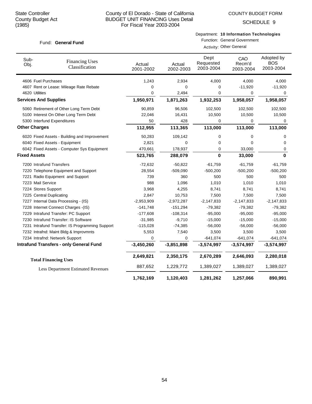# County of El Dorado - State of California BUDGET UNIT FINANCING Uses Detail For Fiscal Year 2003-2004

SCHEDULE 9

# Department: **10 Information Technologies** Function: General Government

Activity: Other General

| Sub-<br>Obj.                 | <b>Financing Uses</b><br>Classification         | Actual<br>2001-2002 | Actual<br>2002-2003 | Dept<br>Requested<br>2003-2004 | CAO<br>Recm'd<br>2003-2004 | Adopted by<br><b>BOS</b><br>2003-2004 |
|------------------------------|-------------------------------------------------|---------------------|---------------------|--------------------------------|----------------------------|---------------------------------------|
| 4606 Fuel Purchases          |                                                 | 1,243               | 2,934               | 4,000                          | 4,000                      | 4,000                                 |
|                              | 4607 Rent or Lease: Mileage Rate Rebate         | 0                   | 0                   | 0                              | $-11,920$                  | $-11,920$                             |
| 4620 Utilities               |                                                 | 0                   | 2,494               | 0                              | 0                          | 0                                     |
| <b>Services And Supplies</b> |                                                 | 1,950,971           | 1,871,263           | 1,932,253                      | 1,958,057                  | 1,958,057                             |
|                              | 5060 Retirement of Other Long Term Debt         | 90,859              | 96,506              | 102,500                        | 102,500                    | 102,500                               |
|                              | 5100 Interest On Other Long Term Debt           | 22,046              | 16,431              | 10,500                         | 10,500                     | 10,500                                |
|                              | 5300 Interfund Expenditures                     | 50                  | 428                 | 0                              | 0                          | 0                                     |
| <b>Other Charges</b>         |                                                 | 112,955             | 113,365             | 113,000                        | 113,000                    | 113,000                               |
|                              | 6020 Fixed Assets - Building and Improvement    | 50,283              | 109,142             | 0                              | 0                          | 0                                     |
|                              | 6040 Fixed Assets - Equipment                   | 2,821               | 0                   | 0                              | $\Omega$                   | $\Omega$                              |
|                              | 6042 Fixed Assets - Computer Sys Equipment      | 470,661             | 178,937             | 0                              | 33,000                     | 0                                     |
| <b>Fixed Assets</b>          |                                                 | 523,765             | 288,079             | 0                              | 33,000                     | $\bf{0}$                              |
| 7200 Intrafund Transfers     |                                                 | $-72,632$           | $-50,822$           | $-61,759$                      | $-61,759$                  | $-61,759$                             |
|                              | 7220 Telephone Equipment and Support            | 28,554              | $-509,090$          | $-500,200$                     | $-500,200$                 | $-500,200$                            |
|                              | 7221 Radio Equipment and Support                | 739                 | 360                 | 500                            | 500                        | 500                                   |
| 7223 Mail Service            |                                                 | 988                 | 1,096               | 1,010                          | 1,010                      | 1,010                                 |
| 7224 Stores Support          |                                                 | 3,968               | 4,255               | 8,741                          | 8,741                      | 8,741                                 |
| 7225 Central Duplicating     |                                                 | 2,847               | 10,753              | 7,500                          | 7,500                      | 7,500                                 |
|                              | 7227 Internal Data Processing - (IS)            | $-2,953,909$        | $-2,972,287$        | $-2,147,833$                   | $-2,147,833$               | $-2,147,833$                          |
|                              | 7228 Internet Connect Charges -(IS)             | $-141,748$          | $-151,294$          | $-79,382$                      | $-79,382$                  | $-79,382$                             |
|                              | 7229 Intrafund Transfer: PC Support             | $-177,608$          | $-108,314$          | $-95,000$                      | $-95,000$                  | $-95,000$                             |
|                              | 7230 Intrafund Transfer: IS Software            | $-31,985$           | $-9,710$            | $-15,000$                      | $-15,000$                  | $-15,000$                             |
|                              | 7231 Intrafund Transfer: IS Programming Support | $-115,028$          | $-74,385$           | $-56,000$                      | $-56,000$                  | $-56,000$                             |
|                              | 7232 Intrafnd: Maint Bldg & Improvmnts          | 5,553               | 7,540               | 3,500                          | 3,500                      | 3,500                                 |
|                              | 7234 Intrafnd: Network Support                  | 0                   | 0                   | $-641,074$                     | $-641,074$                 | $-641,074$                            |
|                              | <b>Intrafund Transfers - only General Fund</b>  | $-3,450,260$        | $-3,851,898$        | $-3,574,997$                   | $-3,574,997$               | $-3,574,997$                          |
|                              | <b>Total Financing Uses</b>                     | 2,649,821           | 2,350,175           | 2,670,289                      | 2,646,093                  | 2,280,018                             |
|                              | <b>Less Department Estimated Revenues</b>       | 887,652             | 1,229,772           | 1,389,027                      | 1,389,027                  | 1,389,027                             |
|                              |                                                 | 1,762,169           | 1,120,403           | 1,281,262                      | 1,257,066                  | 890,991                               |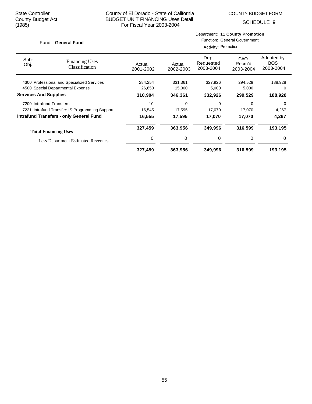Department: **11 County Promotion**

SCHEDULE 9

| <b>General Fund</b><br>Fund: |                                                 | <b>Function: General Government</b><br>Activity: Promotion |                     |                                |                                                             |                                       |  |
|------------------------------|-------------------------------------------------|------------------------------------------------------------|---------------------|--------------------------------|-------------------------------------------------------------|---------------------------------------|--|
| Sub-<br>Obj.                 | <b>Financing Uses</b><br>Classification         | Actual<br>2001-2002                                        | Actual<br>2002-2003 | Dept<br>Requested<br>2003-2004 | CAO<br>Recm'd<br>2003-2004                                  | Adopted by<br><b>BOS</b><br>2003-2004 |  |
|                              | 4300 Professional and Specialized Services      | 284,254                                                    | 331,361             | 327,926                        | 294,529                                                     | 188,928                               |  |
|                              | 4500 Special Departmental Expense               | 26,650                                                     | 15,000              | 5,000                          | 5,000                                                       | 0                                     |  |
| <b>Services And Supplies</b> |                                                 | 310,904                                                    | 346,361             | 332,926                        | 299,529<br>0<br>17,070<br>17,070<br>316,599<br>0<br>316,599 | 188,928                               |  |
| 7200 Intrafund Transfers     |                                                 | 10                                                         | 0                   | 0                              |                                                             | $\Omega$                              |  |
|                              | 7231 Intrafund Transfer: IS Programming Support | 16,545                                                     | 17,595              | 17,070                         |                                                             | 4,267                                 |  |
|                              | <b>Intrafund Transfers - only General Fund</b>  | 16,555                                                     | 17,595              | 17,070                         |                                                             | 4,267                                 |  |
|                              | <b>Total Financing Uses</b>                     | 327,459                                                    | 363,956             | 349,996                        |                                                             | 193,195                               |  |
|                              | <b>Less Department Estimated Revenues</b>       | 0                                                          | 0                   | 0                              |                                                             | 0                                     |  |
|                              |                                                 | 327,459                                                    | 363,956             | 349,996                        |                                                             | 193,195                               |  |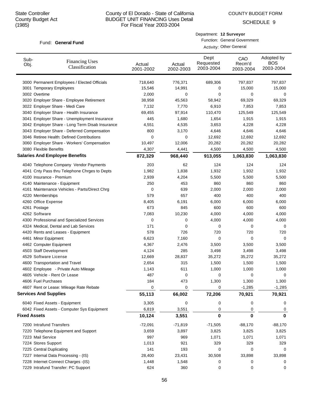COUNTY BUDGET FORM

SCHEDULE 9

#### Fund: General Fund

| Department: 12 Surveyor             |
|-------------------------------------|
| <b>Function: General Government</b> |

Activity: Other General

| 3000 Permanent Employees / Elected Officials<br>718,640<br>776,371<br>689,306<br>797,837<br>797,837<br>15,546<br>15,000<br>15,000<br>3001 Temporary Employees<br>14,991<br>0<br>3002 Overtime<br>2,000<br>0<br>0<br>0<br>0<br>38,958<br>45,563<br>58,942<br>69,329<br>69,329<br>3020 Employer Share - Employee Retirement<br>3022 Employer Share - Medi Care<br>7,132<br>7,770<br>6,910<br>7,853<br>7,853<br>3040 Employer Share - Health Insurance<br>69,455<br>97,914<br>110,470<br>125,549<br>125,549<br>3041 Employer Share - Unemployment Insurance<br>1,680<br>1,654<br>1,915<br>1,915<br>445<br>3042 Employer Share - Long Term Disab Insurance<br>4,551<br>4,535<br>3,653<br>4,228<br>4,228<br>3043 Employer Share - Deferred Compensation<br>800<br>3,170<br>4,646<br>4,646<br>4,646<br>3046 Retiree Health: Defined Contributions<br>0<br>0<br>12,692<br>12,692<br>12,692<br>3060 Employer Share - Workers' Compensation<br>10,497<br>12,006<br>20,282<br>20,282<br>20,282<br>3080 Flexible Benefits<br>4,307<br>4,441<br>4,500<br>4,500<br>4,500<br><b>Salaries And Employee Benefits</b><br>872,329<br>968,440<br>913,055<br>1,063,830<br>1,063,830<br>4040 Telephone Company Vendor Payments<br>203<br>62<br>124<br>124<br>124<br>4041 Cnty Pass thru Telephone Chrges to Depts<br>1,982<br>1,838<br>1,932<br>1,932<br>1,932<br>4100 Insurance - Premium<br>2,939<br>4,204<br>5,500<br>5,500<br>5,500<br>250<br>453<br>860<br>860<br>860<br>4140 Maintenance - Equipment<br>4161 Maintenance Vehicles - Parts/Direct Chrg<br>0<br>639<br>2,000<br>2,000<br>2,000<br>4220 Memberships<br>579<br>657<br>400<br>400<br>400<br>4260 Office Expense<br>8,405<br>6,191<br>6,000<br>6,000<br>6,000<br>4261 Postage<br>673<br>845<br>600<br>600<br>600<br>4262 Software<br>7,083<br>10,230<br>4,000<br>4,000<br>4,000<br>4300 Professional and Specialized Services<br>0<br>4,000<br>4,000<br>4,000<br>0<br>4324 Medical, Dental and Lab Services<br>171<br>0<br>0<br>0<br>0<br>4420 Rents and Leases - Equipment<br>578<br>726<br>720<br>720<br>720<br>4461 Minor Equipment<br>6,623<br>0<br>0<br>7,160<br>0<br>4462 Computer Equipment<br>4,367<br>2,476<br>3,500<br>3,500<br>3,500<br>4503 Staff Development<br>4,124<br>285<br>3,498<br>3,498<br>3,498<br>4529 Software License<br>12,669<br>28,837<br>35,272<br>35,272<br>35,272<br>4600 Transportation and Travel<br>315<br>1,500<br>1,500<br>1,500<br>2,654<br>4602 Employee - Private Auto Mileage<br>1,143<br>611<br>1,000<br>1,000<br>1,000<br>4605 Vehicle - Rent Or Lease<br>487<br>0<br>0<br>0<br>0<br>4606 Fuel Purchases<br>184<br>473<br>1,300<br>1,300<br>1,300<br>0<br>$-1,285$<br>$-1,285$<br>4607 Rent or Lease: Mileage Rate Rebate<br>0<br>0<br><b>Services And Supplies</b><br>66,002<br>55,113<br>72,206<br>70,921<br>70,921<br>3,305<br>0<br>0<br>6040 Fixed Assets - Equipment<br>0<br>0<br>6042 Fixed Assets - Computer Sys Equipment<br>3,551<br>0<br>6,819<br>0<br>0<br><b>Fixed Assets</b><br>0<br>$\bf{0}$<br>10,124<br>3,551<br>$\bf{0}$<br>7200 Intrafund Transfers<br>$-72,091$<br>$-71,819$<br>$-71,505$<br>$-88,170$<br>$-88,170$<br>7220 Telephone Equipment and Support<br>3,659<br>3,897<br>3,825<br>3,825<br>3,825<br>7223 Mail Service<br>997<br>969<br>1,071<br>1,071<br>1,071<br>7224 Stores Support<br>1,013<br>921<br>329<br>329<br>329<br>7225 Central Duplicating<br>141<br>193<br>0<br>0<br>0<br>7227 Internal Data Processing - (IS)<br>28,400<br>30,508<br>33,898<br>33,898<br>23,431<br>7228 Internet Connect Charges -(IS)<br>1,548<br>1,448<br>0<br>0<br>0<br>7229 Intrafund Transfer: PC Support<br>624<br>360<br>0<br>0<br>0 | Sub-<br>Obj. | <b>Financing Uses</b><br>Classification | Actual<br>2001-2002 | Actual<br>2002-2003 | Dept<br>Requested<br>2003-2004 | CAO<br>Recm'd<br>2003-2004 | Adopted by<br><b>BOS</b><br>2003-2004 |
|------------------------------------------------------------------------------------------------------------------------------------------------------------------------------------------------------------------------------------------------------------------------------------------------------------------------------------------------------------------------------------------------------------------------------------------------------------------------------------------------------------------------------------------------------------------------------------------------------------------------------------------------------------------------------------------------------------------------------------------------------------------------------------------------------------------------------------------------------------------------------------------------------------------------------------------------------------------------------------------------------------------------------------------------------------------------------------------------------------------------------------------------------------------------------------------------------------------------------------------------------------------------------------------------------------------------------------------------------------------------------------------------------------------------------------------------------------------------------------------------------------------------------------------------------------------------------------------------------------------------------------------------------------------------------------------------------------------------------------------------------------------------------------------------------------------------------------------------------------------------------------------------------------------------------------------------------------------------------------------------------------------------------------------------------------------------------------------------------------------------------------------------------------------------------------------------------------------------------------------------------------------------------------------------------------------------------------------------------------------------------------------------------------------------------------------------------------------------------------------------------------------------------------------------------------------------------------------------------------------------------------------------------------------------------------------------------------------------------------------------------------------------------------------------------------------------------------------------------------------------------------------------------------------------------------------------------------------------------------------------------------------------------------------------------------------------------------------------------------------------------------------------------------------------------------------------------------------------------------------------------------------------------------------------------------------------------------------------------------------------------------------------------------------------------------------------------------------------------------------------------------------------------------------------------------------------------------------------------------------------------------------|--------------|-----------------------------------------|---------------------|---------------------|--------------------------------|----------------------------|---------------------------------------|
|                                                                                                                                                                                                                                                                                                                                                                                                                                                                                                                                                                                                                                                                                                                                                                                                                                                                                                                                                                                                                                                                                                                                                                                                                                                                                                                                                                                                                                                                                                                                                                                                                                                                                                                                                                                                                                                                                                                                                                                                                                                                                                                                                                                                                                                                                                                                                                                                                                                                                                                                                                                                                                                                                                                                                                                                                                                                                                                                                                                                                                                                                                                                                                                                                                                                                                                                                                                                                                                                                                                                                                                                                                          |              |                                         |                     |                     |                                |                            |                                       |
|                                                                                                                                                                                                                                                                                                                                                                                                                                                                                                                                                                                                                                                                                                                                                                                                                                                                                                                                                                                                                                                                                                                                                                                                                                                                                                                                                                                                                                                                                                                                                                                                                                                                                                                                                                                                                                                                                                                                                                                                                                                                                                                                                                                                                                                                                                                                                                                                                                                                                                                                                                                                                                                                                                                                                                                                                                                                                                                                                                                                                                                                                                                                                                                                                                                                                                                                                                                                                                                                                                                                                                                                                                          |              |                                         |                     |                     |                                |                            |                                       |
|                                                                                                                                                                                                                                                                                                                                                                                                                                                                                                                                                                                                                                                                                                                                                                                                                                                                                                                                                                                                                                                                                                                                                                                                                                                                                                                                                                                                                                                                                                                                                                                                                                                                                                                                                                                                                                                                                                                                                                                                                                                                                                                                                                                                                                                                                                                                                                                                                                                                                                                                                                                                                                                                                                                                                                                                                                                                                                                                                                                                                                                                                                                                                                                                                                                                                                                                                                                                                                                                                                                                                                                                                                          |              |                                         |                     |                     |                                |                            |                                       |
|                                                                                                                                                                                                                                                                                                                                                                                                                                                                                                                                                                                                                                                                                                                                                                                                                                                                                                                                                                                                                                                                                                                                                                                                                                                                                                                                                                                                                                                                                                                                                                                                                                                                                                                                                                                                                                                                                                                                                                                                                                                                                                                                                                                                                                                                                                                                                                                                                                                                                                                                                                                                                                                                                                                                                                                                                                                                                                                                                                                                                                                                                                                                                                                                                                                                                                                                                                                                                                                                                                                                                                                                                                          |              |                                         |                     |                     |                                |                            |                                       |
|                                                                                                                                                                                                                                                                                                                                                                                                                                                                                                                                                                                                                                                                                                                                                                                                                                                                                                                                                                                                                                                                                                                                                                                                                                                                                                                                                                                                                                                                                                                                                                                                                                                                                                                                                                                                                                                                                                                                                                                                                                                                                                                                                                                                                                                                                                                                                                                                                                                                                                                                                                                                                                                                                                                                                                                                                                                                                                                                                                                                                                                                                                                                                                                                                                                                                                                                                                                                                                                                                                                                                                                                                                          |              |                                         |                     |                     |                                |                            |                                       |
|                                                                                                                                                                                                                                                                                                                                                                                                                                                                                                                                                                                                                                                                                                                                                                                                                                                                                                                                                                                                                                                                                                                                                                                                                                                                                                                                                                                                                                                                                                                                                                                                                                                                                                                                                                                                                                                                                                                                                                                                                                                                                                                                                                                                                                                                                                                                                                                                                                                                                                                                                                                                                                                                                                                                                                                                                                                                                                                                                                                                                                                                                                                                                                                                                                                                                                                                                                                                                                                                                                                                                                                                                                          |              |                                         |                     |                     |                                |                            |                                       |
|                                                                                                                                                                                                                                                                                                                                                                                                                                                                                                                                                                                                                                                                                                                                                                                                                                                                                                                                                                                                                                                                                                                                                                                                                                                                                                                                                                                                                                                                                                                                                                                                                                                                                                                                                                                                                                                                                                                                                                                                                                                                                                                                                                                                                                                                                                                                                                                                                                                                                                                                                                                                                                                                                                                                                                                                                                                                                                                                                                                                                                                                                                                                                                                                                                                                                                                                                                                                                                                                                                                                                                                                                                          |              |                                         |                     |                     |                                |                            |                                       |
|                                                                                                                                                                                                                                                                                                                                                                                                                                                                                                                                                                                                                                                                                                                                                                                                                                                                                                                                                                                                                                                                                                                                                                                                                                                                                                                                                                                                                                                                                                                                                                                                                                                                                                                                                                                                                                                                                                                                                                                                                                                                                                                                                                                                                                                                                                                                                                                                                                                                                                                                                                                                                                                                                                                                                                                                                                                                                                                                                                                                                                                                                                                                                                                                                                                                                                                                                                                                                                                                                                                                                                                                                                          |              |                                         |                     |                     |                                |                            |                                       |
|                                                                                                                                                                                                                                                                                                                                                                                                                                                                                                                                                                                                                                                                                                                                                                                                                                                                                                                                                                                                                                                                                                                                                                                                                                                                                                                                                                                                                                                                                                                                                                                                                                                                                                                                                                                                                                                                                                                                                                                                                                                                                                                                                                                                                                                                                                                                                                                                                                                                                                                                                                                                                                                                                                                                                                                                                                                                                                                                                                                                                                                                                                                                                                                                                                                                                                                                                                                                                                                                                                                                                                                                                                          |              |                                         |                     |                     |                                |                            |                                       |
|                                                                                                                                                                                                                                                                                                                                                                                                                                                                                                                                                                                                                                                                                                                                                                                                                                                                                                                                                                                                                                                                                                                                                                                                                                                                                                                                                                                                                                                                                                                                                                                                                                                                                                                                                                                                                                                                                                                                                                                                                                                                                                                                                                                                                                                                                                                                                                                                                                                                                                                                                                                                                                                                                                                                                                                                                                                                                                                                                                                                                                                                                                                                                                                                                                                                                                                                                                                                                                                                                                                                                                                                                                          |              |                                         |                     |                     |                                |                            |                                       |
|                                                                                                                                                                                                                                                                                                                                                                                                                                                                                                                                                                                                                                                                                                                                                                                                                                                                                                                                                                                                                                                                                                                                                                                                                                                                                                                                                                                                                                                                                                                                                                                                                                                                                                                                                                                                                                                                                                                                                                                                                                                                                                                                                                                                                                                                                                                                                                                                                                                                                                                                                                                                                                                                                                                                                                                                                                                                                                                                                                                                                                                                                                                                                                                                                                                                                                                                                                                                                                                                                                                                                                                                                                          |              |                                         |                     |                     |                                |                            |                                       |
|                                                                                                                                                                                                                                                                                                                                                                                                                                                                                                                                                                                                                                                                                                                                                                                                                                                                                                                                                                                                                                                                                                                                                                                                                                                                                                                                                                                                                                                                                                                                                                                                                                                                                                                                                                                                                                                                                                                                                                                                                                                                                                                                                                                                                                                                                                                                                                                                                                                                                                                                                                                                                                                                                                                                                                                                                                                                                                                                                                                                                                                                                                                                                                                                                                                                                                                                                                                                                                                                                                                                                                                                                                          |              |                                         |                     |                     |                                |                            |                                       |
|                                                                                                                                                                                                                                                                                                                                                                                                                                                                                                                                                                                                                                                                                                                                                                                                                                                                                                                                                                                                                                                                                                                                                                                                                                                                                                                                                                                                                                                                                                                                                                                                                                                                                                                                                                                                                                                                                                                                                                                                                                                                                                                                                                                                                                                                                                                                                                                                                                                                                                                                                                                                                                                                                                                                                                                                                                                                                                                                                                                                                                                                                                                                                                                                                                                                                                                                                                                                                                                                                                                                                                                                                                          |              |                                         |                     |                     |                                |                            |                                       |
|                                                                                                                                                                                                                                                                                                                                                                                                                                                                                                                                                                                                                                                                                                                                                                                                                                                                                                                                                                                                                                                                                                                                                                                                                                                                                                                                                                                                                                                                                                                                                                                                                                                                                                                                                                                                                                                                                                                                                                                                                                                                                                                                                                                                                                                                                                                                                                                                                                                                                                                                                                                                                                                                                                                                                                                                                                                                                                                                                                                                                                                                                                                                                                                                                                                                                                                                                                                                                                                                                                                                                                                                                                          |              |                                         |                     |                     |                                |                            |                                       |
|                                                                                                                                                                                                                                                                                                                                                                                                                                                                                                                                                                                                                                                                                                                                                                                                                                                                                                                                                                                                                                                                                                                                                                                                                                                                                                                                                                                                                                                                                                                                                                                                                                                                                                                                                                                                                                                                                                                                                                                                                                                                                                                                                                                                                                                                                                                                                                                                                                                                                                                                                                                                                                                                                                                                                                                                                                                                                                                                                                                                                                                                                                                                                                                                                                                                                                                                                                                                                                                                                                                                                                                                                                          |              |                                         |                     |                     |                                |                            |                                       |
|                                                                                                                                                                                                                                                                                                                                                                                                                                                                                                                                                                                                                                                                                                                                                                                                                                                                                                                                                                                                                                                                                                                                                                                                                                                                                                                                                                                                                                                                                                                                                                                                                                                                                                                                                                                                                                                                                                                                                                                                                                                                                                                                                                                                                                                                                                                                                                                                                                                                                                                                                                                                                                                                                                                                                                                                                                                                                                                                                                                                                                                                                                                                                                                                                                                                                                                                                                                                                                                                                                                                                                                                                                          |              |                                         |                     |                     |                                |                            |                                       |
|                                                                                                                                                                                                                                                                                                                                                                                                                                                                                                                                                                                                                                                                                                                                                                                                                                                                                                                                                                                                                                                                                                                                                                                                                                                                                                                                                                                                                                                                                                                                                                                                                                                                                                                                                                                                                                                                                                                                                                                                                                                                                                                                                                                                                                                                                                                                                                                                                                                                                                                                                                                                                                                                                                                                                                                                                                                                                                                                                                                                                                                                                                                                                                                                                                                                                                                                                                                                                                                                                                                                                                                                                                          |              |                                         |                     |                     |                                |                            |                                       |
|                                                                                                                                                                                                                                                                                                                                                                                                                                                                                                                                                                                                                                                                                                                                                                                                                                                                                                                                                                                                                                                                                                                                                                                                                                                                                                                                                                                                                                                                                                                                                                                                                                                                                                                                                                                                                                                                                                                                                                                                                                                                                                                                                                                                                                                                                                                                                                                                                                                                                                                                                                                                                                                                                                                                                                                                                                                                                                                                                                                                                                                                                                                                                                                                                                                                                                                                                                                                                                                                                                                                                                                                                                          |              |                                         |                     |                     |                                |                            |                                       |
|                                                                                                                                                                                                                                                                                                                                                                                                                                                                                                                                                                                                                                                                                                                                                                                                                                                                                                                                                                                                                                                                                                                                                                                                                                                                                                                                                                                                                                                                                                                                                                                                                                                                                                                                                                                                                                                                                                                                                                                                                                                                                                                                                                                                                                                                                                                                                                                                                                                                                                                                                                                                                                                                                                                                                                                                                                                                                                                                                                                                                                                                                                                                                                                                                                                                                                                                                                                                                                                                                                                                                                                                                                          |              |                                         |                     |                     |                                |                            |                                       |
|                                                                                                                                                                                                                                                                                                                                                                                                                                                                                                                                                                                                                                                                                                                                                                                                                                                                                                                                                                                                                                                                                                                                                                                                                                                                                                                                                                                                                                                                                                                                                                                                                                                                                                                                                                                                                                                                                                                                                                                                                                                                                                                                                                                                                                                                                                                                                                                                                                                                                                                                                                                                                                                                                                                                                                                                                                                                                                                                                                                                                                                                                                                                                                                                                                                                                                                                                                                                                                                                                                                                                                                                                                          |              |                                         |                     |                     |                                |                            |                                       |
|                                                                                                                                                                                                                                                                                                                                                                                                                                                                                                                                                                                                                                                                                                                                                                                                                                                                                                                                                                                                                                                                                                                                                                                                                                                                                                                                                                                                                                                                                                                                                                                                                                                                                                                                                                                                                                                                                                                                                                                                                                                                                                                                                                                                                                                                                                                                                                                                                                                                                                                                                                                                                                                                                                                                                                                                                                                                                                                                                                                                                                                                                                                                                                                                                                                                                                                                                                                                                                                                                                                                                                                                                                          |              |                                         |                     |                     |                                |                            |                                       |
|                                                                                                                                                                                                                                                                                                                                                                                                                                                                                                                                                                                                                                                                                                                                                                                                                                                                                                                                                                                                                                                                                                                                                                                                                                                                                                                                                                                                                                                                                                                                                                                                                                                                                                                                                                                                                                                                                                                                                                                                                                                                                                                                                                                                                                                                                                                                                                                                                                                                                                                                                                                                                                                                                                                                                                                                                                                                                                                                                                                                                                                                                                                                                                                                                                                                                                                                                                                                                                                                                                                                                                                                                                          |              |                                         |                     |                     |                                |                            |                                       |
|                                                                                                                                                                                                                                                                                                                                                                                                                                                                                                                                                                                                                                                                                                                                                                                                                                                                                                                                                                                                                                                                                                                                                                                                                                                                                                                                                                                                                                                                                                                                                                                                                                                                                                                                                                                                                                                                                                                                                                                                                                                                                                                                                                                                                                                                                                                                                                                                                                                                                                                                                                                                                                                                                                                                                                                                                                                                                                                                                                                                                                                                                                                                                                                                                                                                                                                                                                                                                                                                                                                                                                                                                                          |              |                                         |                     |                     |                                |                            |                                       |
|                                                                                                                                                                                                                                                                                                                                                                                                                                                                                                                                                                                                                                                                                                                                                                                                                                                                                                                                                                                                                                                                                                                                                                                                                                                                                                                                                                                                                                                                                                                                                                                                                                                                                                                                                                                                                                                                                                                                                                                                                                                                                                                                                                                                                                                                                                                                                                                                                                                                                                                                                                                                                                                                                                                                                                                                                                                                                                                                                                                                                                                                                                                                                                                                                                                                                                                                                                                                                                                                                                                                                                                                                                          |              |                                         |                     |                     |                                |                            |                                       |
|                                                                                                                                                                                                                                                                                                                                                                                                                                                                                                                                                                                                                                                                                                                                                                                                                                                                                                                                                                                                                                                                                                                                                                                                                                                                                                                                                                                                                                                                                                                                                                                                                                                                                                                                                                                                                                                                                                                                                                                                                                                                                                                                                                                                                                                                                                                                                                                                                                                                                                                                                                                                                                                                                                                                                                                                                                                                                                                                                                                                                                                                                                                                                                                                                                                                                                                                                                                                                                                                                                                                                                                                                                          |              |                                         |                     |                     |                                |                            |                                       |
|                                                                                                                                                                                                                                                                                                                                                                                                                                                                                                                                                                                                                                                                                                                                                                                                                                                                                                                                                                                                                                                                                                                                                                                                                                                                                                                                                                                                                                                                                                                                                                                                                                                                                                                                                                                                                                                                                                                                                                                                                                                                                                                                                                                                                                                                                                                                                                                                                                                                                                                                                                                                                                                                                                                                                                                                                                                                                                                                                                                                                                                                                                                                                                                                                                                                                                                                                                                                                                                                                                                                                                                                                                          |              |                                         |                     |                     |                                |                            |                                       |
|                                                                                                                                                                                                                                                                                                                                                                                                                                                                                                                                                                                                                                                                                                                                                                                                                                                                                                                                                                                                                                                                                                                                                                                                                                                                                                                                                                                                                                                                                                                                                                                                                                                                                                                                                                                                                                                                                                                                                                                                                                                                                                                                                                                                                                                                                                                                                                                                                                                                                                                                                                                                                                                                                                                                                                                                                                                                                                                                                                                                                                                                                                                                                                                                                                                                                                                                                                                                                                                                                                                                                                                                                                          |              |                                         |                     |                     |                                |                            |                                       |
|                                                                                                                                                                                                                                                                                                                                                                                                                                                                                                                                                                                                                                                                                                                                                                                                                                                                                                                                                                                                                                                                                                                                                                                                                                                                                                                                                                                                                                                                                                                                                                                                                                                                                                                                                                                                                                                                                                                                                                                                                                                                                                                                                                                                                                                                                                                                                                                                                                                                                                                                                                                                                                                                                                                                                                                                                                                                                                                                                                                                                                                                                                                                                                                                                                                                                                                                                                                                                                                                                                                                                                                                                                          |              |                                         |                     |                     |                                |                            |                                       |
|                                                                                                                                                                                                                                                                                                                                                                                                                                                                                                                                                                                                                                                                                                                                                                                                                                                                                                                                                                                                                                                                                                                                                                                                                                                                                                                                                                                                                                                                                                                                                                                                                                                                                                                                                                                                                                                                                                                                                                                                                                                                                                                                                                                                                                                                                                                                                                                                                                                                                                                                                                                                                                                                                                                                                                                                                                                                                                                                                                                                                                                                                                                                                                                                                                                                                                                                                                                                                                                                                                                                                                                                                                          |              |                                         |                     |                     |                                |                            |                                       |
|                                                                                                                                                                                                                                                                                                                                                                                                                                                                                                                                                                                                                                                                                                                                                                                                                                                                                                                                                                                                                                                                                                                                                                                                                                                                                                                                                                                                                                                                                                                                                                                                                                                                                                                                                                                                                                                                                                                                                                                                                                                                                                                                                                                                                                                                                                                                                                                                                                                                                                                                                                                                                                                                                                                                                                                                                                                                                                                                                                                                                                                                                                                                                                                                                                                                                                                                                                                                                                                                                                                                                                                                                                          |              |                                         |                     |                     |                                |                            |                                       |
|                                                                                                                                                                                                                                                                                                                                                                                                                                                                                                                                                                                                                                                                                                                                                                                                                                                                                                                                                                                                                                                                                                                                                                                                                                                                                                                                                                                                                                                                                                                                                                                                                                                                                                                                                                                                                                                                                                                                                                                                                                                                                                                                                                                                                                                                                                                                                                                                                                                                                                                                                                                                                                                                                                                                                                                                                                                                                                                                                                                                                                                                                                                                                                                                                                                                                                                                                                                                                                                                                                                                                                                                                                          |              |                                         |                     |                     |                                |                            |                                       |
|                                                                                                                                                                                                                                                                                                                                                                                                                                                                                                                                                                                                                                                                                                                                                                                                                                                                                                                                                                                                                                                                                                                                                                                                                                                                                                                                                                                                                                                                                                                                                                                                                                                                                                                                                                                                                                                                                                                                                                                                                                                                                                                                                                                                                                                                                                                                                                                                                                                                                                                                                                                                                                                                                                                                                                                                                                                                                                                                                                                                                                                                                                                                                                                                                                                                                                                                                                                                                                                                                                                                                                                                                                          |              |                                         |                     |                     |                                |                            |                                       |
|                                                                                                                                                                                                                                                                                                                                                                                                                                                                                                                                                                                                                                                                                                                                                                                                                                                                                                                                                                                                                                                                                                                                                                                                                                                                                                                                                                                                                                                                                                                                                                                                                                                                                                                                                                                                                                                                                                                                                                                                                                                                                                                                                                                                                                                                                                                                                                                                                                                                                                                                                                                                                                                                                                                                                                                                                                                                                                                                                                                                                                                                                                                                                                                                                                                                                                                                                                                                                                                                                                                                                                                                                                          |              |                                         |                     |                     |                                |                            |                                       |
|                                                                                                                                                                                                                                                                                                                                                                                                                                                                                                                                                                                                                                                                                                                                                                                                                                                                                                                                                                                                                                                                                                                                                                                                                                                                                                                                                                                                                                                                                                                                                                                                                                                                                                                                                                                                                                                                                                                                                                                                                                                                                                                                                                                                                                                                                                                                                                                                                                                                                                                                                                                                                                                                                                                                                                                                                                                                                                                                                                                                                                                                                                                                                                                                                                                                                                                                                                                                                                                                                                                                                                                                                                          |              |                                         |                     |                     |                                |                            |                                       |
|                                                                                                                                                                                                                                                                                                                                                                                                                                                                                                                                                                                                                                                                                                                                                                                                                                                                                                                                                                                                                                                                                                                                                                                                                                                                                                                                                                                                                                                                                                                                                                                                                                                                                                                                                                                                                                                                                                                                                                                                                                                                                                                                                                                                                                                                                                                                                                                                                                                                                                                                                                                                                                                                                                                                                                                                                                                                                                                                                                                                                                                                                                                                                                                                                                                                                                                                                                                                                                                                                                                                                                                                                                          |              |                                         |                     |                     |                                |                            |                                       |
|                                                                                                                                                                                                                                                                                                                                                                                                                                                                                                                                                                                                                                                                                                                                                                                                                                                                                                                                                                                                                                                                                                                                                                                                                                                                                                                                                                                                                                                                                                                                                                                                                                                                                                                                                                                                                                                                                                                                                                                                                                                                                                                                                                                                                                                                                                                                                                                                                                                                                                                                                                                                                                                                                                                                                                                                                                                                                                                                                                                                                                                                                                                                                                                                                                                                                                                                                                                                                                                                                                                                                                                                                                          |              |                                         |                     |                     |                                |                            |                                       |
|                                                                                                                                                                                                                                                                                                                                                                                                                                                                                                                                                                                                                                                                                                                                                                                                                                                                                                                                                                                                                                                                                                                                                                                                                                                                                                                                                                                                                                                                                                                                                                                                                                                                                                                                                                                                                                                                                                                                                                                                                                                                                                                                                                                                                                                                                                                                                                                                                                                                                                                                                                                                                                                                                                                                                                                                                                                                                                                                                                                                                                                                                                                                                                                                                                                                                                                                                                                                                                                                                                                                                                                                                                          |              |                                         |                     |                     |                                |                            |                                       |
|                                                                                                                                                                                                                                                                                                                                                                                                                                                                                                                                                                                                                                                                                                                                                                                                                                                                                                                                                                                                                                                                                                                                                                                                                                                                                                                                                                                                                                                                                                                                                                                                                                                                                                                                                                                                                                                                                                                                                                                                                                                                                                                                                                                                                                                                                                                                                                                                                                                                                                                                                                                                                                                                                                                                                                                                                                                                                                                                                                                                                                                                                                                                                                                                                                                                                                                                                                                                                                                                                                                                                                                                                                          |              |                                         |                     |                     |                                |                            |                                       |
|                                                                                                                                                                                                                                                                                                                                                                                                                                                                                                                                                                                                                                                                                                                                                                                                                                                                                                                                                                                                                                                                                                                                                                                                                                                                                                                                                                                                                                                                                                                                                                                                                                                                                                                                                                                                                                                                                                                                                                                                                                                                                                                                                                                                                                                                                                                                                                                                                                                                                                                                                                                                                                                                                                                                                                                                                                                                                                                                                                                                                                                                                                                                                                                                                                                                                                                                                                                                                                                                                                                                                                                                                                          |              |                                         |                     |                     |                                |                            |                                       |
|                                                                                                                                                                                                                                                                                                                                                                                                                                                                                                                                                                                                                                                                                                                                                                                                                                                                                                                                                                                                                                                                                                                                                                                                                                                                                                                                                                                                                                                                                                                                                                                                                                                                                                                                                                                                                                                                                                                                                                                                                                                                                                                                                                                                                                                                                                                                                                                                                                                                                                                                                                                                                                                                                                                                                                                                                                                                                                                                                                                                                                                                                                                                                                                                                                                                                                                                                                                                                                                                                                                                                                                                                                          |              |                                         |                     |                     |                                |                            |                                       |
|                                                                                                                                                                                                                                                                                                                                                                                                                                                                                                                                                                                                                                                                                                                                                                                                                                                                                                                                                                                                                                                                                                                                                                                                                                                                                                                                                                                                                                                                                                                                                                                                                                                                                                                                                                                                                                                                                                                                                                                                                                                                                                                                                                                                                                                                                                                                                                                                                                                                                                                                                                                                                                                                                                                                                                                                                                                                                                                                                                                                                                                                                                                                                                                                                                                                                                                                                                                                                                                                                                                                                                                                                                          |              |                                         |                     |                     |                                |                            |                                       |
|                                                                                                                                                                                                                                                                                                                                                                                                                                                                                                                                                                                                                                                                                                                                                                                                                                                                                                                                                                                                                                                                                                                                                                                                                                                                                                                                                                                                                                                                                                                                                                                                                                                                                                                                                                                                                                                                                                                                                                                                                                                                                                                                                                                                                                                                                                                                                                                                                                                                                                                                                                                                                                                                                                                                                                                                                                                                                                                                                                                                                                                                                                                                                                                                                                                                                                                                                                                                                                                                                                                                                                                                                                          |              |                                         |                     |                     |                                |                            |                                       |
|                                                                                                                                                                                                                                                                                                                                                                                                                                                                                                                                                                                                                                                                                                                                                                                                                                                                                                                                                                                                                                                                                                                                                                                                                                                                                                                                                                                                                                                                                                                                                                                                                                                                                                                                                                                                                                                                                                                                                                                                                                                                                                                                                                                                                                                                                                                                                                                                                                                                                                                                                                                                                                                                                                                                                                                                                                                                                                                                                                                                                                                                                                                                                                                                                                                                                                                                                                                                                                                                                                                                                                                                                                          |              |                                         |                     |                     |                                |                            |                                       |
|                                                                                                                                                                                                                                                                                                                                                                                                                                                                                                                                                                                                                                                                                                                                                                                                                                                                                                                                                                                                                                                                                                                                                                                                                                                                                                                                                                                                                                                                                                                                                                                                                                                                                                                                                                                                                                                                                                                                                                                                                                                                                                                                                                                                                                                                                                                                                                                                                                                                                                                                                                                                                                                                                                                                                                                                                                                                                                                                                                                                                                                                                                                                                                                                                                                                                                                                                                                                                                                                                                                                                                                                                                          |              |                                         |                     |                     |                                |                            |                                       |
|                                                                                                                                                                                                                                                                                                                                                                                                                                                                                                                                                                                                                                                                                                                                                                                                                                                                                                                                                                                                                                                                                                                                                                                                                                                                                                                                                                                                                                                                                                                                                                                                                                                                                                                                                                                                                                                                                                                                                                                                                                                                                                                                                                                                                                                                                                                                                                                                                                                                                                                                                                                                                                                                                                                                                                                                                                                                                                                                                                                                                                                                                                                                                                                                                                                                                                                                                                                                                                                                                                                                                                                                                                          |              |                                         |                     |                     |                                |                            |                                       |
|                                                                                                                                                                                                                                                                                                                                                                                                                                                                                                                                                                                                                                                                                                                                                                                                                                                                                                                                                                                                                                                                                                                                                                                                                                                                                                                                                                                                                                                                                                                                                                                                                                                                                                                                                                                                                                                                                                                                                                                                                                                                                                                                                                                                                                                                                                                                                                                                                                                                                                                                                                                                                                                                                                                                                                                                                                                                                                                                                                                                                                                                                                                                                                                                                                                                                                                                                                                                                                                                                                                                                                                                                                          |              |                                         |                     |                     |                                |                            |                                       |